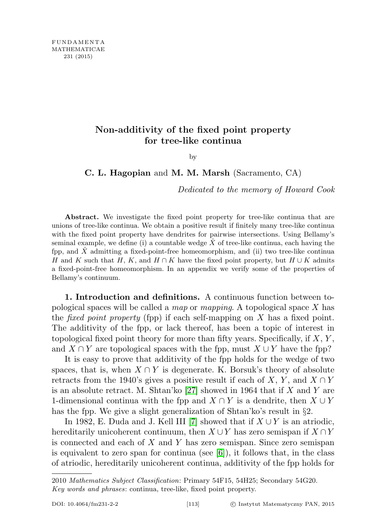# Non-additivity of the fixed point property for tree-like continua

by

C. L. Hagopian and M. M. Marsh (Sacramento, CA)

Dedicated to the memory of Howard Cook

Abstract. We investigate the fixed point property for tree-like continua that are unions of tree-like continua. We obtain a positive result if finitely many tree-like continua with the fixed point property have dendrites for pairwise intersections. Using Bellamy's seminal example, we define (i) a countable wedge  $\ddot{X}$  of tree-like continua, each having the fpp, and  $X$  admitting a fixed-point-free homeomorphism, and (ii) two tree-like continua H and K such that H, K, and  $H \cap K$  have the fixed point property, but  $H \cup K$  admits a fixed-point-free homeomorphism. In an appendix we verify some of the properties of Bellamy's continuum.

1. Introduction and definitions. A continuous function between topological spaces will be called a map or mapping. A topological space  $X$  has the *fixed point property* (fpp) if each self-mapping on  $X$  has a fixed point. The additivity of the fpp, or lack thereof, has been a topic of interest in topological fixed point theory for more than fifty years. Specifically, if  $X, Y$ , and  $X \cap Y$  are topological spaces with the fpp, must  $X \cup Y$  have the fpp?

It is easy to prove that additivity of the fpp holds for the wedge of two spaces, that is, when  $X \cap Y$  is degenerate. K. Borsuk's theory of absolute retracts from the 1940's gives a positive result if each of X, Y, and  $X \cap Y$ is an absolute retract. M. Shtan'ko [\[27\]](#page-23-0) showed in 1964 that if X and Y are 1-dimensional continua with the fpp and  $X \cap Y$  is a dendrite, then  $X \cup Y$ has the fpp. We give a slight generalization of Shtan'ko's result in §2.

In 1982, E. Duda and J. Kell III [\[7\]](#page-23-1) showed that if  $X \cup Y$  is an atriodic, hereditarily unicoherent continuum, then  $X \cup Y$  has zero semispan if  $X \cap Y$ is connected and each of  $X$  and  $Y$  has zero semispan. Since zero semispan is equivalent to zero span for continua (see  $[6]$ ), it follows that, in the class of atriodic, hereditarily unicoherent continua, additivity of the fpp holds for

<sup>2010</sup> Mathematics Subject Classification: Primary 54F15, 54H25; Secondary 54G20. Key words and phrases: continua, tree-like, fixed point property.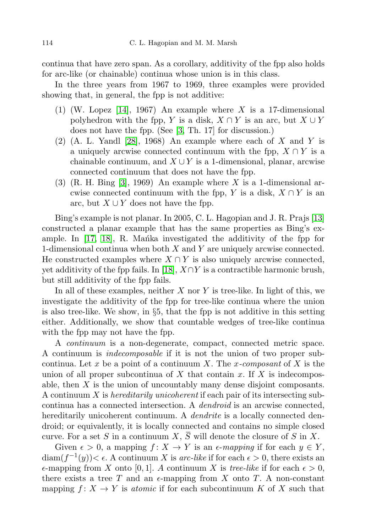continua that have zero span. As a corollary, additivity of the fpp also holds for arc-like (or chainable) continua whose union is in this class.

In the three years from 1967 to 1969, three examples were provided showing that, in general, the fpp is not additive:

- $(1)$  (W. Lopez [\[14\]](#page-23-3), 1967) An example where X is a 17-dimensional polyhedron with the fpp, Y is a disk,  $X \cap Y$  is an arc, but  $X \cup Y$ does not have the fpp. (See [\[3,](#page-23-4) Th. 17] for discussion.)
- $(2)$  (A. L. Yandl [\[28\]](#page-24-0), 1968) An example where each of X and Y is a uniquely arcwise connected continuum with the fpp,  $X \cap Y$  is a chainable continuum, and  $X \cup Y$  is a 1-dimensional, planar, arcwise connected continuum that does not have the fpp.
- (3) (R. H. Bing [\[3\]](#page-23-4), 1969) An example where X is a 1-dimensional arcwise connected continuum with the fpp, Y is a disk,  $X \cap Y$  is an arc, but  $X \cup Y$  does not have the fpp.

Bing's example is not planar. In 2005, C. L. Hagopian and J. R. Prajs [\[13\]](#page-23-5) constructed a planar example that has the same properties as Bing's example. In  $[17, 18]$  $[17, 18]$ , R. Mantka investigated the additivity of the fpp for 1-dimensional continua when both  $X$  and  $Y$  are uniquely arcwise connected. He constructed examples where  $X \cap Y$  is also uniquely arcwise connected, yet additivity of the fpp fails. In [\[18\]](#page-23-7),  $X \cap Y$  is a contractible harmonic brush, but still additivity of the fpp fails.

In all of these examples, neither  $X$  nor  $Y$  is tree-like. In light of this, we investigate the additivity of the fpp for tree-like continua where the union is also tree-like. We show, in  $\S5$ , that the fpp is not additive in this setting either. Additionally, we show that countable wedges of tree-like continua with the fpp may not have the fpp.

A continuum is a non-degenerate, compact, connected metric space. A continuum is indecomposable if it is not the union of two proper subcontinua. Let x be a point of a continuum X. The x-composant of X is the union of all proper subcontinua of X that contain x. If X is indecomposable, then X is the union of uncountably many dense disjoint composants. A continuum X is hereditarily unicoherent if each pair of its intersecting subcontinua has a connected intersection. A dendroid is an arcwise connected, hereditarily unicoherent continuum. A *dendrite* is a locally connected dendroid; or equivalently, it is locally connected and contains no simple closed curve. For a set S in a continuum X,  $\overline{S}$  will denote the closure of S in X.

Given  $\epsilon > 0$ , a mapping  $f: X \to Y$  is an  $\epsilon$ -mapping if for each  $y \in Y$ .  $\text{diam}(f^{-1}(y)) < \epsilon$ . A continuum X is arc-like if for each  $\epsilon > 0$ , there exists an  $\epsilon$ -mapping from X onto [0,1]. A continuum X is tree-like if for each  $\epsilon > 0$ , there exists a tree T and an  $\epsilon$ -mapping from X onto T. A non-constant mapping  $f: X \to Y$  is atomic if for each subcontinuum K of X such that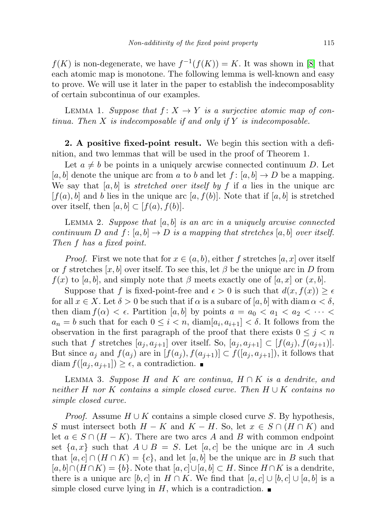$f(K)$  is non-degenerate, we have  $f^{-1}(f(K)) = K$ . It was shown in [\[8\]](#page-23-8) that each atomic map is monotone. The following lemma is well-known and easy to prove. We will use it later in the paper to establish the indecomposablity of certain subcontinua of our examples.

LEMMA 1. Suppose that  $f: X \to Y$  is a surjective atomic map of continua. Then  $X$  is indecomposable if and only if  $Y$  is indecomposable.

2. A positive fixed-point result. We begin this section with a definition, and two lemmas that will be used in the proof of Theorem 1.

Let  $a \neq b$  be points in a uniquely arcwise connected continuum D. Let  $[a, b]$  denote the unique arc from a to b and let  $f : [a, b] \to D$  be a mapping. We say that  $[a, b]$  is *stretched over itself by f* if a lies in the unique arc  $[f(a), b]$  and b lies in the unique arc  $[a, f(b)]$ . Note that if  $[a, b]$  is stretched over itself, then  $[a, b] \subset [f(a), f(b)].$ 

LEMMA 2. Suppose that  $[a, b]$  is an arc in a uniquely arcwise connected continuum D and  $f: [a, b] \to D$  is a mapping that stretches [a, b] over itself. Then f has a fixed point.

*Proof.* First we note that for  $x \in (a, b)$ , either f stretches [a, x] over itself or f stretches  $[x, b]$  over itself. To see this, let  $\beta$  be the unique arc in D from  $f(x)$  to [a, b], and simply note that  $\beta$  meets exactly one of [a, x] or  $(x, b]$ .

Suppose that f is fixed-point-free and  $\epsilon > 0$  is such that  $d(x, f(x)) \geq \epsilon$ for all  $x \in X$ . Let  $\delta > 0$  be such that if  $\alpha$  is a subarc of [a, b] with diam  $\alpha < \delta$ , then diam  $f(\alpha) < \epsilon$ . Partition [a, b] by points  $a = a_0 < a_1 < a_2 < \cdots <$  $a_n = b$  such that for each  $0 \leq i < n$ ,  $\text{diam}[a_i, a_{i+1}] < \delta$ . It follows from the observation in the first paragraph of the proof that there exists  $0 \leq j \leq n$ such that f stretches  $[a_j, a_{j+1}]$  over itself. So,  $[a_j, a_{j+1}] \subset [f(a_j), f(a_{j+1})]$ . But since  $a_j$  and  $f(a_j)$  are in  $[f(a_j), f(a_{j+1})] \subset f([a_j, a_{j+1}])$ , it follows that  $\text{diam } f([a_j, a_{j+1}]) \geq \epsilon$ , a contradiction.

LEMMA 3. Suppose H and K are continua,  $H \cap K$  is a dendrite, and neither H nor K contains a simple closed curve. Then  $H \cup K$  contains no simple closed curve.

*Proof.* Assume  $H \cup K$  contains a simple closed curve S. By hypothesis, S must intersect both  $H - K$  and  $K - H$ . So, let  $x \in S \cap (H \cap K)$  and let  $a \in S \cap (H - K)$ . There are two arcs A and B with common endpoint set  $\{a, x\}$  such that  $A \cup B = S$ . Let  $[a, c]$  be the unique arc in A such that  $[a, c] \cap (H \cap K) = \{c\}$ , and let  $[a, b]$  be the unique arc in B such that  $[a, b] \cap (H \cap K) = \{b\}.$  Note that  $[a, c] \cup [a, b] \subset H$ . Since  $H \cap K$  is a dendrite, there is a unique arc  $[b, c]$  in  $H \cap K$ . We find that  $[a, c] \cup [b, c] \cup [a, b]$  is a simple closed curve lying in  $H$ , which is a contradiction.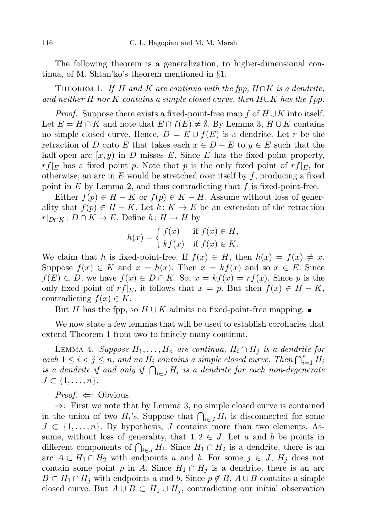The following theorem is a generalization, to higher-dimensional continua, of M. Shtan'ko's theorem mentioned in §1.

THEOREM 1. If H and K are continua with the fpp,  $H \cap K$  is a dendrite, and neither H nor K contains a simple closed curve, then  $H\cup K$  has the fpp.

*Proof.* Suppose there exists a fixed-point-free map f of  $H \cup K$  into itself. Let  $E = H \cap K$  and note that  $E \cap f(E) \neq \emptyset$ . By Lemma 3,  $H \cup K$  contains no simple closed curve. Hence,  $D = E \cup f(E)$  is a dendrite. Let r be the retraction of D onto E that takes each  $x \in D - E$  to  $y \in E$  such that the half-open arc  $(x, y)$  in D misses E. Since E has the fixed point property,  $rf|_E$  has a fixed point p. Note that p is the only fixed point of  $rf|_E$ , for otherwise, an arc in  $E$  would be stretched over itself by  $f$ , producing a fixed point in  $E$  by Lemma 2, and thus contradicting that  $f$  is fixed-point-free.

Either  $f(p) \in H - K$  or  $f(p) \in K - H$ . Assume without loss of generality that  $f(p) \in H - K$ . Let  $k: K \to E$  be an extension of the retraction  $r|_{D\cap K}: D\cap K\to E$ . Define  $h: H\to H$  by

$$
h(x) = \begin{cases} f(x) & \text{if } f(x) \in H, \\ kf(x) & \text{if } f(x) \in K. \end{cases}
$$

We claim that h is fixed-point-free. If  $f(x) \in H$ , then  $h(x) = f(x) \neq x$ . Suppose  $f(x) \in K$  and  $x = h(x)$ . Then  $x = kf(x)$  and so  $x \in E$ . Since  $f(E) \subset D$ , we have  $f(x) \in D \cap K$ . So,  $x = kf(x) = rf(x)$ . Since p is the only fixed point of  $rf|_E$ , it follows that  $x = p$ . But then  $f(x) \in H - K$ , contradicting  $f(x) \in K$ .

But H has the fpp, so  $H \cup K$  admits no fixed-point-free mapping.  $\blacksquare$ 

We now state a few lemmas that will be used to establish corollaries that extend Theorem 1 from two to finitely many continua.

LEMMA 4. Suppose  $H_1, \ldots, H_n$  are continua,  $H_i \cap H_j$  is a dendrite for each  $1 \leq i < j \leq n$ , and no  $H_i$  contains a simple closed curve. Then  $\bigcap_{i=1}^n H_i$ is a dendrite if and only if  $\bigcap_{i\in J} H_i$  is a dendrite for each non-degenerate  $J \subset \{1,\ldots,n\}.$ 

*Proof.*  $\Leftarrow$ : Obvious.

⇒: First we note that by Lemma 3, no simple closed curve is contained in the union of two  $H_i$ 's. Suppose that  $\bigcap_{i\in J} H_i$  is disconnected for some  $J \subset \{1, \ldots, n\}$ . By hypothesis, J contains more than two elements. Assume, without loss of generality, that  $1, 2 \in J$ . Let a and b be points in different components of  $\bigcap_{i\in J} H_i$ . Since  $H_1 \cap H_2$  is a dendrite, there is an arc  $A \subset H_1 \cap H_2$  with endpoints a and b. For some  $j \in J$ ,  $H_j$  does not contain some point p in A. Since  $H_1 \cap H_j$  is a dendrite, there is an arc  $B \subset H_1 \cap H_j$  with endpoints a and b. Since  $p \notin B$ ,  $A \cup B$  contains a simple closed curve. But  $A \cup B \subset H_1 \cup H_j$ , contradicting our initial observation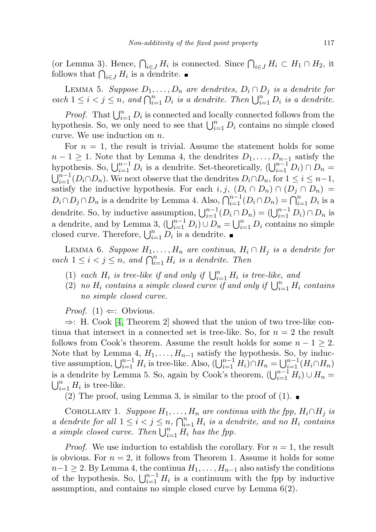(or Lemma 3). Hence,  $\bigcap_{i\in J} H_i$  is connected. Since  $\bigcap_{i\in J} H_i \subset H_1 \cap H_2$ , it follows that  $\bigcap_{i\in J} H_i$  is a dendrite.

LEMMA 5. Suppose  $D_1, \ldots, D_n$  are dendrites,  $D_i \cap D_j$  is a dendrite for each  $1 \leq i < j \leq n$ , and  $\bigcap_{i=1}^{n} D_i$  is a dendrite. Then  $\bigcup_{i=1}^{n} D_i$  is a dendrite.

*Proof.* That  $\bigcup_{i=1}^n D_i$  is connected and locally connected follows from the hypothesis. So, we only need to see that  $\bigcup_{i=1}^{n} D_i$  contains no simple closed curve. We use induction on  $n$ .

For  $n = 1$ , the result is trivial. Assume the statement holds for some  $n-1 \geq 1$ . Note that by Lemma 4, the dendrites  $D_1, \ldots, D_{n-1}$  satisfy the hypothesis. So,  $\bigcup_{i=1}^{n-1} D_i$  is a dendrite. Set-theoretically,  $(\bigcup_{i=1}^{n-1} D_i) \cap D_n =$  $\bigcup_{i=1}^{n-1} (D_i \cap D_n)$ . We next observe that the dendrites  $D_i \cap D_n$ , for  $1 \leq i \leq n-1$ , satisfy the inductive hypothesis. For each i, j,  $(D_i \cap D_n) \cap (D_j \cap D_n) =$  $D_i \cap D_j \cap D_n$  is a dendrite by Lemma 4. Also,  $\bigcap_{i=1}^{n-1} (D_i \cap D_n) = \bigcap_{i=1}^{n} D_i$  is a dendrite. So, by inductive assumption,  $\bigcup_{i=1}^{n-1} (D_i \cap D_n) = (\bigcup_{i=1}^{n-1} D_i) \cap D_n$  is a dendrite, and by Lemma 3,  $(\bigcup_{i=1}^{n-1} D_i) \cup D_n = \bigcup_{i=1}^{n} D_i$  contains no simple closed curve. Therefore,  $\bigcup_{i=1}^n D_i$  is a dendrite.

LEMMA 6. Suppose  $H_1, \ldots, H_n$  are continua,  $H_i \cap H_j$  is a dendrite for each  $1 \leq i < j \leq n$ , and  $\bigcap_{i=1}^{n} H_i$  is a dendrite. Then

- (1) each  $H_i$  is tree-like if and only if  $\bigcup_{i=1}^n H_i$  is tree-like, and
- (2) no  $H_i$  contains a simple closed curve if and only if  $\bigcup_{i=1}^n H_i$  contains no simple closed curve.

*Proof.*  $(1) \Leftarrow$ : Obvious.

⇒: H. Cook [\[4,](#page-23-9) Theorem 2] showed that the union of two tree-like continua that intersect in a connected set is tree-like. So, for  $n = 2$  the result follows from Cook's theorem. Assume the result holds for some  $n - 1 \geq 2$ . Note that by Lemma 4,  $H_1, \ldots, H_{n-1}$  satisfy the hypothesis. So, by inductive assumption,  $\bigcup_{i=1}^{n-1} H_i$  is tree-like. Also,  $(\bigcup_{i=1}^{n-1} H_i) \cap H_n = \bigcup_{i=1}^{n-1} (H_i \cap H_n)$ is a dendrite by Lemma 5. So, again by Cook's theorem,  $(\bigcup_{i=1}^{n-1} H_i) \cup H_n = \bigcup_{i=1}^{n} H_i$  is tree-like.  $_{i=1}^n H_i$  is tree-like.

(2) The proof, using Lemma 3, is similar to the proof of  $(1)$ .

COROLLARY 1. Suppose  $H_1, \ldots, H_n$  are continua with the fpp,  $H_i \cap H_j$  is a dendrite for all  $1 \leq i \leq j \leq n$ ,  $\bigcap_{i=1}^{n} H_i$  is a dendrite, and no  $H_i$  contains a simple closed curve. Then  $\bigcup_{i=1}^n \overline{H_i}$  has the fpp.

*Proof.* We use induction to establish the corollary. For  $n = 1$ , the result is obvious. For  $n = 2$ , it follows from Theorem 1. Assume it holds for some  $n-1 \geq 2$ . By Lemma 4, the continua  $H_1, \ldots, H_{n-1}$  also satisfy the conditions of the hypothesis. So,  $\bigcup_{i=1}^{n-1} H_i$  is a continuum with the fpp by inductive assumption, and contains no simple closed curve by Lemma 6(2).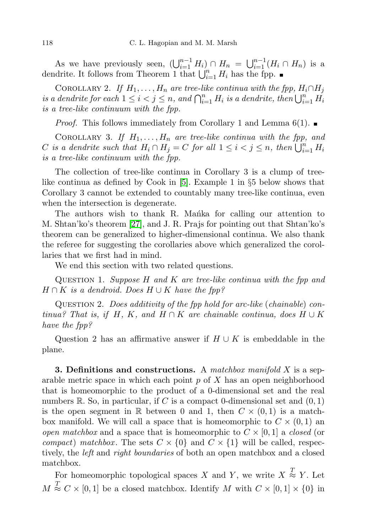As we have previously seen,  $(\bigcup_{i=1}^{n-1} H_i) \cap H_n = \bigcup_{i=1}^{n-1} (H_i \cap H_n)$  is a dendrite. It follows from Theorem 1 that  $\bigcup_{i=1}^n H_i$  has the fpp.

COROLLARY 2. If  $H_1, \ldots, H_n$  are tree-like continua with the fpp,  $H_i \cap H_j$ is a dendrite for each  $1 \leq i < j \leq n$ , and  $\bigcap_{i=1}^{n} H_i$  is a dendrite, then  $\bigcup_{i=1}^{n} H_i$ is a tree-like continuum with the fpp.

*Proof.* This follows immediately from Corollary 1 and Lemma  $6(1)$ .

COROLLARY 3. If  $H_1, \ldots, H_n$  are tree-like continua with the fpp, and C is a dendrite such that  $H_i \cap H_j = C$  for all  $1 \leq i < j \leq n$ , then  $\bigcup_{i=1}^{n} H_i$ is a tree-like continuum with the fpp.

The collection of tree-like continua in Corollary 3 is a clump of treelike continua as defined by Cook in [\[5\]](#page-23-10). Example 1 in §5 below shows that Corollary 3 cannot be extended to countably many tree-like continua, even when the intersection is degenerate.

The authors wish to thank R. Manka for calling our attention to M. Shtan'ko's theorem [\[27\]](#page-23-0), and J. R. Prajs for pointing out that Shtan'ko's theorem can be generalized to higher-dimensional continua. We also thank the referee for suggesting the corollaries above which generalized the corollaries that we first had in mind.

We end this section with two related questions.

QUESTION 1. Suppose  $H$  and  $K$  are tree-like continua with the fpp and  $H \cap K$  is a dendroid. Does  $H \cup K$  have the fpp?

Question 2. Does additivity of the fpp hold for arc-like (chainable) continua? That is, if H, K, and  $H \cap K$  are chainable continua, does  $H \cup K$ have the fpp?

Question 2 has an affirmative answer if  $H \cup K$  is embeddable in the plane.

**3. Definitions and constructions.** A matchbox manifold X is a separable metric space in which each point  $p$  of  $X$  has an open neighborhood that is homeomorphic to the product of a 0-dimensional set and the real numbers  $\mathbb{R}$ . So, in particular, if C is a compact 0-dimensional set and  $(0, 1)$ is the open segment in R between 0 and 1, then  $C \times (0,1)$  is a matchbox manifold. We will call a space that is homeomorphic to  $C \times (0,1)$  and *open matchbox* and a space that is homeomorphic to  $C \times [0, 1]$  a closed (or *compact*) matchbox. The sets  $C \times \{0\}$  and  $C \times \{1\}$  will be called, respectively, the *left* and *right boundaries* of both an open matchbox and a closed matchbox.

For homeomorphic topological spaces X and Y, we write  $X \stackrel{T}{\approx} Y$ . Let  $M \stackrel{T}{\approx} C \times [0,1]$  be a closed matchbox. Identify M with  $C \times [0,1] \times \{0\}$  in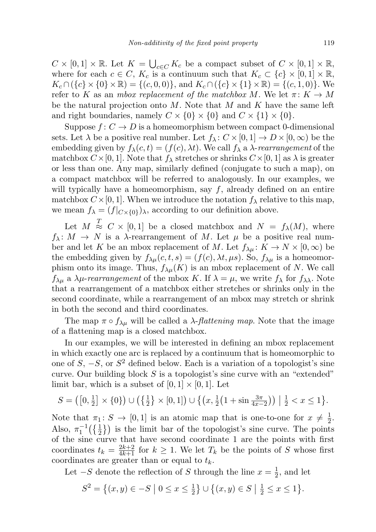$C \times [0,1] \times \mathbb{R}$ . Let  $K = \bigcup_{c \in C} K_c$  be a compact subset of  $C \times [0,1] \times \mathbb{R}$ , where for each  $c \in C$ ,  $K_c$  is a continuum such that  $K_c \subset \{c\} \times [0,1] \times \mathbb{R}$ ,  $K_c \cap (\{c\} \times \{0\} \times \mathbb{R}) = \{(c, 0, 0)\}\$ , and  $K_c \cap (\{c\} \times \{1\} \times \mathbb{R}) = \{(c, 1, 0)\}\$ . We refer to K as an mbox replacement of the matchbox M. We let  $\pi: K \to M$ be the natural projection onto  $M$ . Note that  $M$  and  $K$  have the same left and right boundaries, namely  $C \times \{0\} \times \{0\}$  and  $C \times \{1\} \times \{0\}$ .

Suppose  $f: C \to D$  is a homeomorphism between compact 0-dimensional sets. Let  $\lambda$  be a positive real number. Let  $f_{\lambda}: C \times [0, 1] \to D \times [0, \infty)$  be the embedding given by  $f_{\lambda}(c, t) = (f(c), \lambda t)$ . We call  $f_{\lambda}$  a  $\lambda$ -rearrangement of the matchbox  $C \times [0, 1]$ . Note that  $f_{\lambda}$  stretches or shrinks  $C \times [0, 1]$  as  $\lambda$  is greater or less than one. Any map, similarly defined (conjugate to such a map), on a compact matchbox will be referred to analogously. In our examples, we will typically have a homeomorphism, say  $f$ , already defined on an entire matchbox  $C \times [0, 1]$ . When we introduce the notation  $f_{\lambda}$  relative to this map, we mean  $f_{\lambda} = (f|_{C\times\{0\}})_{\lambda}$ , according to our definition above.

Let  $M \stackrel{T}{\approx} C \times [0,1]$  be a closed matchbox and  $N = f_{\lambda}(M)$ , where  $f_{\lambda}: M \to N$  is a  $\lambda$ -rearrangement of M. Let  $\mu$  be a positive real number and let K be an mbox replacement of M. Let  $f_{\lambda\mu} : K \to N \times [0, \infty)$  be the embedding given by  $f_{\lambda\mu}(c, t, s) = (f(c), \lambda t, \mu s)$ . So,  $f_{\lambda\mu}$  is a homeomorphism onto its image. Thus,  $f_{\lambda\mu}(K)$  is an mbox replacement of N. We call  $f_{\lambda\mu}$  a  $\lambda\mu$ -rearrangement of the mbox K. If  $\lambda = \mu$ , we write  $f_{\lambda}$  for  $f_{\lambda\lambda}$ . Note that a rearrangement of a matchbox either stretches or shrinks only in the second coordinate, while a rearrangement of an mbox may stretch or shrink in both the second and third coordinates.

The map  $\pi \circ f_{\lambda\mu}$  will be called a  $\lambda$ -*flattening map*. Note that the image of a flattening map is a closed matchbox.

In our examples, we will be interested in defining an mbox replacement in which exactly one arc is replaced by a continuum that is homeomorphic to one of  $S, -S,$  or  $S^2$  defined below. Each is a variation of a topologist's sine curve. Our building block  $S$  is a topologist's sine curve with an "extended" limit bar, which is a subset of  $[0, 1] \times [0, 1]$ . Let

$$
S = ([0, \frac{1}{2}] \times \{0\}) \cup (\{\frac{1}{2}\} \times [0, 1]) \cup \{(x, \frac{1}{2}(1 + \sin \frac{3\pi}{4x - 2})) \mid \frac{1}{2} < x \le 1\}.
$$

Note that  $\pi_1: S \to [0,1]$  is an atomic map that is one-to-one for  $x \neq \frac{1}{2}$  $rac{1}{2}$ . Also,  $\pi_1^{-1}(\{\frac{1}{2}\})$  is the limit bar of the topologist's sine curve. The points of the sine curve that have second coordinate 1 are the points with first coordinates  $t_k = \frac{2k+2}{4k+1}$  for  $k \geq 1$ . We let  $T_k$  be the points of S whose first coordinates are greater than or equal to  $t_k$ .

Let  $-S$  denote the reflection of S through the line  $x=\frac{1}{2}$  $\frac{1}{2}$ , and let

$$
S^{2} = \{(x, y) \in -S \mid 0 \le x \le \frac{1}{2}\} \cup \{(x, y) \in S \mid \frac{1}{2} \le x \le 1\}.
$$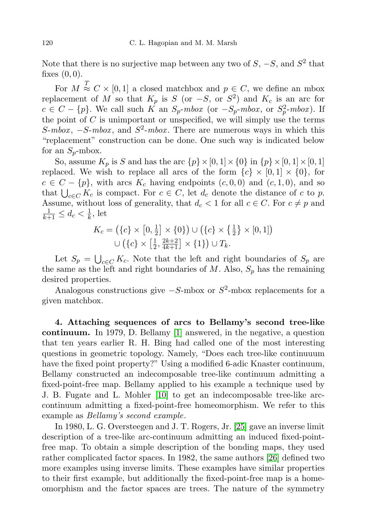Note that there is no surjective map between any two of  $S, -S,$  and  $S^2$  that fixes  $(0, 0)$ .

For  $M \stackrel{T}{\approx} C \times [0,1]$  a closed matchbox and  $p \in C$ , we define an mbox replacement of M so that  $K_p$  is S (or  $-S$ , or  $S^2$ ) and  $K_c$  is an arc for  $c \in C - \{p\}$ . We call such K an  $S_p \text{-} \mod$  (or  $-S_p \text{-} \mod$ , or  $S_p^2 \text{-} \mod$ ). If the point of  $C$  is unimportant or unspecified, we will simply use the terms S-mbox,  $-S$ -mbox, and  $S^2$ -mbox. There are numerous ways in which this "replacement" construction can be done. One such way is indicated below for an  $S_p$ -mbox.

So, assume  $K_p$  is S and has the arc  $\{p\} \times [0, 1] \times \{0\}$  in  $\{p\} \times [0, 1] \times [0, 1]$ replaced. We wish to replace all arcs of the form  ${c} \times [0,1] \times \{0\}$ , for  $c \in C - \{p\}$ , with arcs  $K_c$  having endpoints  $(c, 0, 0)$  and  $(c, 1, 0)$ , and so that  $\bigcup_{c \in C} K_c$  is compact. For  $c \in C$ , let  $d_c$  denote the distance of c to p. Assume, without loss of generality, that  $d_c < 1$  for all  $c \in C$ . For  $c \neq p$  and  $\frac{1}{k+1} \leq d_c < \frac{1}{k}$  $\frac{1}{k}$ , let

$$
K_c = (\{c\} \times [0, \frac{1}{2}] \times \{0\}) \cup (\{c\} \times \{\frac{1}{2}\} \times [0, 1])
$$
  
 
$$
\cup (\{c\} \times [\frac{1}{2}, \frac{2k+2}{4k+1}] \times \{1\}) \cup T_k.
$$

Let  $S_p = \bigcup_{c \in C} K_c$ . Note that the left and right boundaries of  $S_p$  are the same as the left and right boundaries of  $M$ . Also,  $S_p$  has the remaining desired properties.

Analogous constructions give  $-S$ -mbox or  $S^2$ -mbox replacements for a given matchbox.

4. Attaching sequences of arcs to Bellamy's second tree-like continuum. In 1979, D. Bellamy [\[1\]](#page-22-0) answered, in the negative, a question that ten years earlier R. H. Bing had called one of the most interesting questions in geometric topology. Namely, "Does each tree-like continuuum have the fixed point property?" Using a modified 6-adic Knaster continuum, Bellamy constructed an indecomposable tree-like continuum admitting a fixed-point-free map. Bellamy applied to his example a technique used by J. B. Fugate and L. Mohler [\[10\]](#page-23-11) to get an indecomposable tree-like arccontinuum admitting a fixed-point-free homeomorphism. We refer to this example as Bellamy's second example.

In 1980, L. G. Oversteegen and J. T. Rogers, Jr. [\[25\]](#page-23-12) gave an inverse limit description of a tree-like arc-continuum admitting an induced fixed-pointfree map. To obtain a simple description of the bonding maps, they used rather complicated factor spaces. In 1982, the same authors [\[26\]](#page-23-13) defined two more examples using inverse limits. These examples have similar properties to their first example, but additionally the fixed-point-free map is a homeomorphism and the factor spaces are trees. The nature of the symmetry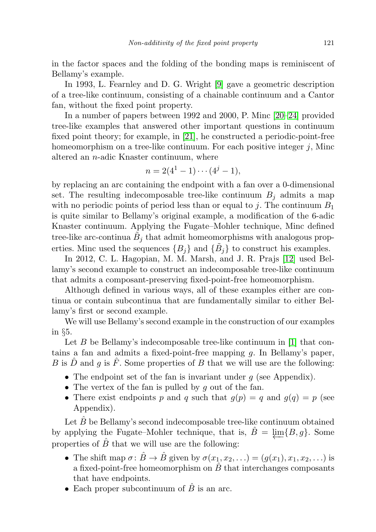in the factor spaces and the folding of the bonding maps is reminiscent of Bellamy's example.

In 1993, L. Fearnley and D. G. Wright [\[9\]](#page-23-14) gave a geometric description of a tree-like continuum, consisting of a chainable continuum and a Cantor fan, without the fixed point property.

In a number of papers between 1992 and 2000, P. Minc [\[20–](#page-23-15)[24\]](#page-23-16) provided tree-like examples that answered other important questions in continuum fixed point theory; for example, in [\[21\]](#page-23-17), he constructed a periodic-point-free homeomorphism on a tree-like continuum. For each positive integer  $j$ , Minc altered an n-adic Knaster continuum, where

$$
n = 2(4^1 - 1) \cdots (4^j - 1),
$$

by replacing an arc containing the endpoint with a fan over a 0-dimensional set. The resulting indecomposable tree-like continuum  $B_i$  admits a map with no periodic points of period less than or equal to j. The continuum  $B_1$ is quite similar to Bellamy's original example, a modification of the 6-adic Knaster continuum. Applying the Fugate–Mohler technique, Minc defined tree-like arc-continua  $\tilde{B}_j$  that admit homeomorphisms with analogous properties. Minc used the sequences  $\{B_j\}$  and  $\{\tilde{B}_j\}$  to construct his examples.

In 2012, C. L. Hagopian, M. M. Marsh, and J. R. Prajs [\[12\]](#page-23-18) used Bellamy's second example to construct an indecomposable tree-like continuum that admits a composant-preserving fixed-point-free homeomorphism.

Although defined in various ways, all of these examples either are continua or contain subcontinua that are fundamentally similar to either Bellamy's first or second example.

We will use Bellamy's second example in the construction of our examples in §5.

Let  $B$  be Bellamy's indecomposable tree-like continuum in [\[1\]](#page-22-0) that contains a fan and admits a fixed-point-free mapping g. In Bellamy's paper, B is D and g is F. Some properties of B that we will use are the following:

- The endpoint set of the fan is invariant under  $g$  (see Appendix).
- The vertex of the fan is pulled by  $g$  out of the fan.
- There exist endpoints p and q such that  $q(p) = q$  and  $q(q) = p$  (see Appendix).

Let  $B$  be Bellamy's second indecomposable tree-like continuum obtained by applying the Fugate–Mohler technique, that is,  $\hat{B} = \lim\{B, g\}$ . Some properties of  $\hat{B}$  that we will use are the following:

- The shift map  $\sigma: \hat{B} \to \hat{B}$  given by  $\sigma(x_1, x_2, ...)$  =  $(g(x_1), x_1, x_2, ...)$  is a fixed-point-free homeomorphism on  $\hat{B}$  that interchanges composants that have endpoints.
- Each proper subcontinuum of  $\hat{B}$  is an arc.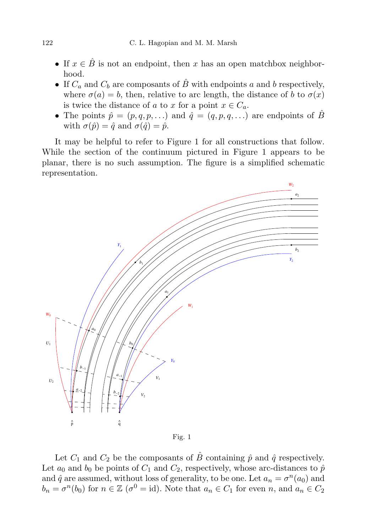- If  $x \in \hat{B}$  is not an endpoint, then x has an open matchbox neighborhood.
- If  $C_a$  and  $C_b$  are composants of  $\hat{B}$  with endpoints a and b respectively, where  $\sigma(a) = b$ , then, relative to arc length, the distance of b to  $\sigma(x)$ is twice the distance of a to x for a point  $x \in C_a$ .
- The points  $\hat{p} = (p, q, p, \ldots)$  and  $\hat{q} = (q, p, q, \ldots)$  are endpoints of  $\hat{B}$ with  $\sigma(\hat{p}) = \hat{q}$  and  $\sigma(\hat{q}) = \hat{p}$ .

It may be helpful to refer to Figure 1 for all constructions that follow. While the section of the continuum pictured in Figure 1 appears to be planar, there is no such assumption. The figure is a simplified schematic representation.



Fig. 1

Let  $C_1$  and  $C_2$  be the composants of  $\hat{B}$  containing  $\hat{p}$  and  $\hat{q}$  respectively. Let  $a_0$  and  $b_0$  be points of  $C_1$  and  $C_2$ , respectively, whose arc-distances to  $\hat{p}$ and  $\hat{q}$  are assumed, without loss of generality, to be one. Let  $a_n = \sigma^n(a_0)$  and  $b_n = \sigma^n(b_0)$  for  $n \in \mathbb{Z}$  ( $\sigma^0 = id$ ). Note that  $a_n \in C_1$  for even n, and  $a_n \in C_2$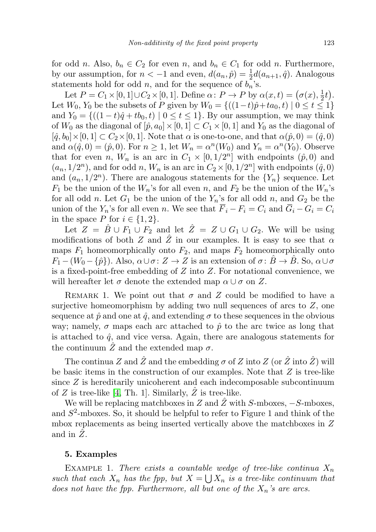for odd n. Also,  $b_n \in C_2$  for even n, and  $b_n \in C_1$  for odd n. Furthermore, by our assumption, for  $n < -1$  and even,  $d(a_n, \hat{p}) = \frac{1}{2}d(a_{n+1}, \hat{q})$ . Analogous statements hold for odd  $n$ , and for the sequence of  $b_n$ 's.

Let  $P = C_1 \times [0, 1] \cup C_2 \times [0, 1]$ . Define  $\alpha \colon P \to P$  by  $\alpha(x, t) = (\sigma(x), \frac{1}{2})$  $(\frac{1}{2}t)$ . Let  $W_0, Y_0$  be the subsets of P given by  $W_0 = \{((1-t)\hat{p}+ta_0, t) | 0 \le t \le 1\}$ and  $Y_0 = \{((1-t)\hat{q} + tb_0, t) | 0 \le t \le 1\}$ . By our assumption, we may think of  $W_0$  as the diagonal of  $[\hat{p}, a_0] \times [0, 1] \subset C_1 \times [0, 1]$  and  $Y_0$  as the diagonal of  $[\hat{q}, b_0] \times [0, 1] \subset C_2 \times [0, 1]$ . Note that  $\alpha$  is one-to-one, and that  $\alpha(\hat{p}, 0) = (\hat{q}, 0)$ and  $\alpha(\hat{q},0) = (\hat{p},0)$ . For  $n \ge 1$ , let  $W_n = \alpha^n(W_0)$  and  $Y_n = \alpha^n(Y_0)$ . Observe that for even n,  $W_n$  is an arc in  $C_1 \times [0, 1/2^n]$  with endpoints  $(\hat{p}, 0)$  and  $(a_n, 1/2^n)$ , and for odd n,  $W_n$  is an arc in  $C_2 \times [0, 1/2^n]$  with endpoints  $(\hat{q}, 0)$ and  $(a_n, 1/2^n)$ . There are analogous statements for the  $\{Y_n\}$  sequence. Let  $F_1$  be the union of the  $W_n$ 's for all even n, and  $F_2$  be the union of the  $W_n$ 's for all odd n. Let  $G_1$  be the union of the  $Y_n$ 's for all odd n, and  $G_2$  be the union of the  $Y_n$ 's for all even n. We see that  $\overline{F}_i - F_i = C_i$  and  $\overline{G}_i - G_i = C_i$ in the space P for  $i \in \{1, 2\}$ .

Let  $Z = \hat{B} \cup F_1 \cup F_2$  and let  $\hat{Z} = Z \cup G_1 \cup G_2$ . We will be using modifications of both Z and Z in our examples. It is easy to see that  $\alpha$ maps  $F_1$  homeomorphically onto  $F_2$ , and maps  $F_2$  homeomorphically onto  $F_1 - (W_0 - \{\hat{p}\})$ . Also,  $\alpha \cup \sigma : Z \to Z$  is an extension of  $\sigma : \hat{B} \to \hat{B}$ . So,  $\alpha \cup \sigma$ is a fixed-point-free embedding of  $Z$  into  $Z$ . For notational convenience, we will hereafter let  $\sigma$  denote the extended map  $\alpha \cup \sigma$  on Z.

REMARK 1. We point out that  $\sigma$  and Z could be modified to have a surjective homeomorphism by adding two null sequences of arcs to  $Z$ , one sequence at  $\hat{p}$  and one at  $\hat{q}$ , and extending  $\sigma$  to these sequences in the obvious way; namely,  $\sigma$  maps each arc attached to  $\hat{p}$  to the arc twice as long that is attached to  $\hat{q}$ , and vice versa. Again, there are analogous statements for the continuum  $\ddot{Z}$  and the extended map  $\sigma$ .

The continua Z and  $\hat{Z}$  and the embedding  $\sigma$  of Z into Z (or  $\hat{Z}$  into  $\hat{Z}$ ) will be basic items in the construction of our examples. Note that  $Z$  is tree-like since  $Z$  is hereditarily unicoherent and each indecomposable subcontinuum of  $Z$  is tree-like [\[4,](#page-23-9) Th. 1]. Similarly,  $\hat{Z}$  is tree-like.

We will be replacing matchboxes in Z and  $\hat{Z}$  with S-mboxes,  $-S$ -mboxes, and  $S^2$ -mboxes. So, it should be helpful to refer to Figure 1 and think of the mbox replacements as being inserted vertically above the matchboxes in Z and in  $Z$ .

## 5. Examples

EXAMPLE 1. There exists a countable wedge of tree-like continua  $X_n$ such that each  $X_n$  has the fpp, but  $X = \bigcup X_n$  is a tree-like continuum that does not have the fpp. Furthermore, all but one of the  $X_n$ 's are arcs.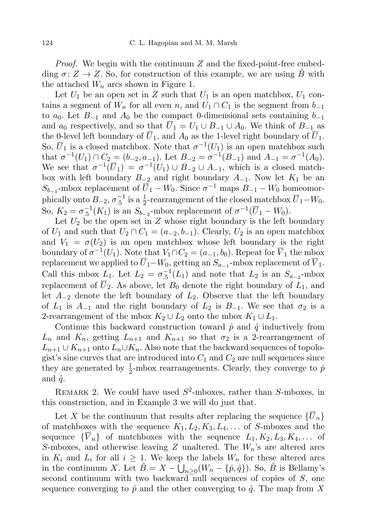*Proof.* We begin with the continuum  $Z$  and the fixed-point-free embedding  $\sigma: Z \to Z$ . So, for construction of this example, we are using B with the attached  $W_n$  arcs shown in Figure 1.

Let  $U_1$  be an open set in Z such that  $U_1$  is an open matchbox,  $U_1$  contains a segment of  $W_n$  for all even n, and  $U_1 \cap C_1$  is the segment from  $b_{-1}$ to  $a_0$ . Let  $B_{-1}$  and  $A_0$  be the compact 0-dimensional sets containing  $b_{-1}$ and  $a_0$  respectively, and so that  $\overline{U}_1 = U_1 \cup B_{-1} \cup A_0$ . We think of  $B_{-1}$  as the 0-level left boundary of  $\overline{U}_1$ , and  $A_0$  as the 1-level right boundary of  $\overline{U}_1$ . So,  $\overline{U}_1$  is a closed matchbox. Note that  $\sigma^{-1}(U_1)$  is an open matchbox such that  $\sigma^{-1}(U_1) \cap C_2 = (b_{-2}, a_{-1})$ . Let  $B_{-2} = \sigma^{-1}(B_{-1})$  and  $A_{-1} = \sigma^{-1}(A_0)$ . We see that  $\sigma^{-1}(\overline{U}_1) = \sigma^{-1}(U_1) \cup B_{-2} \cup A_{-1}$ , which is a closed matchbox with left boundary  $B_{-2}$  and right boundary  $A_{-1}$ . Now let  $K_1$  be an  $S_{b-1}$ -mbox replacement of  $\overline{U}_1 - W_0$ . Since  $\sigma^{-1}$  maps  $B_{-1} - W_0$  homeomorphically onto  $B_{-2}$ ,  $\sigma_{.5}^{-1}$  is a  $\frac{1}{2}$ -rearrangement of the closed matchbox  $\overline{U}_1-W_0$ . So,  $K_2 = \sigma_{.5}^{-1}(K_1)$  is an  $S_{b_{-2}}$ -mbox replacement of  $\sigma^{-1}(\overline{U}_1 - W_0)$ .

Let  $U_2$  be the open set in Z whose right boundary is the left boundary of  $U_1$  and such that  $U_2 \cap C_1 = (a_{-2}, b_{-1})$ . Clearly,  $U_2$  is an open matchbox and  $V_1 = \sigma(U_2)$  is an open matchbox whose left boundary is the right boundary of  $\sigma^{-1}(U_1)$ . Note that  $V_1 \cap C_2 = (a_{-1}, b_0)$ . Repeat for  $\overline{V}_1$  the mbox replacement we applied to  $U_1-W_0$ , getting an  $S_{a_{-1}}$ -mbox replacement of  $V_1$ . Call this mbox  $L_1$ . Let  $L_2 = \sigma_{.5}^{-1}(L_1)$  and note that  $L_2$  is an  $S_{a_{-2}}$ -mbox replacement of  $\overline{U}_2$ . As above, let  $B_0$  denote the right boundary of  $L_1$ , and let  $A_{-2}$  denote the left boundary of  $L_2$ . Observe that the left boundary of  $L_1$  is  $A_{-1}$  and the right boundary of  $L_2$  is  $B_{-1}$ . We see that  $\sigma_2$  is a 2-rearrangement of the mbox  $K_2 \cup L_2$  onto the mbox  $K_1 \cup L_1$ .

Continue this backward construction toward  $\hat{p}$  and  $\hat{q}$  inductively from  $L_n$  and  $K_n$ , getting  $L_{n+1}$  and  $K_{n+1}$  so that  $\sigma_2$  is a 2-rearrangement of  $L_{n+1} \cup K_{n+1}$  onto  $L_n \cup K_n$ . Also note that the backward sequences of topologist's sine curves that are introduced into  $C_1$  and  $C_2$  are null sequences since they are generated by  $\frac{1}{2}$ -mbox rearrangements. Clearly, they converge to  $\hat{p}$ and  $\hat{q}$ .

REMARK 2. We could have used  $S^2$ -mboxes, rather than S-mboxes, in this construction, and in Example 3 we will do just that.

Let X be the continuum that results after replacing the sequence  $\{U_n\}$ of matchboxes with the sequence  $K_1, L_2, K_3, L_4, \ldots$  of S-mboxes and the sequence  $\{\overline{V}_n\}$  of matchboxes with the sequence  $L_1, K_2, L_3, K_4, \ldots$  of S-mboxes, and otherwise leaving Z unaltered. The  $W_n$ 's are altered arcs in  $K_i$  and  $L_i$  for all  $i \geq 1$ . We keep the labels  $W_n$  for these altered arcs in the continuum X. Let  $\tilde{B} = X - \hat{U}_{n \geq 0} (W_n - \{\hat{p}, \hat{q}\})$ . So,  $\tilde{B}$  is Bellamy's second continuum with two backward null sequences of copies of S, one sequence converging to  $\hat{p}$  and the other converging to  $\hat{q}$ . The map from X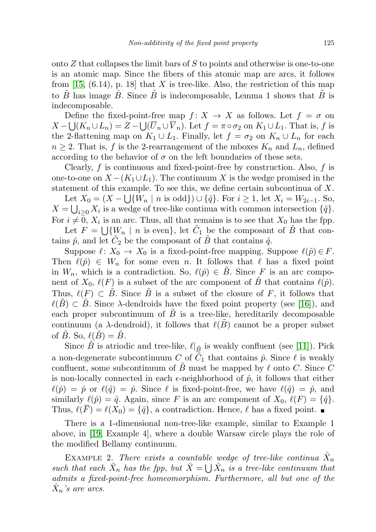onto  $Z$  that collapses the limit bars of  $S$  to points and otherwise is one-to-one is an atomic map. Since the fibers of this atomic map are arcs, it follows from  $[15, (6.14), p. 18]$  $[15, (6.14), p. 18]$  that X is tree-like. Also, the restriction of this map to B has image B. Since B is indecomposable, Lemma 1 shows that B is indecomposable.

Define the fixed-point-free map  $f: X \to X$  as follows. Let  $f = \sigma$  on  $X - \bigcup (K_n \cup L_n) = Z - \bigcup (U_n \cup V_n)$ . Let  $f = \pi \circ \sigma_2$  on  $K_1 \cup L_1$ . That is, f is the 2-flattening map on  $K_1 \cup L_1$ . Finally, let  $f = \sigma_2$  on  $K_n \cup L_n$  for each  $n \geq 2$ . That is, f is the 2-rearrangement of the mboxes  $K_n$  and  $L_n$ , defined according to the behavior of  $\sigma$  on the left boundaries of these sets.

Clearly,  $f$  is continuous and fixed-point-free by construction. Also,  $f$  is one-to-one on  $X - (K_1 \cup L_1)$ . The continuum X is the wedge promised in the statement of this example. To see this, we define certain subcontinua of X. Let  $X_0 = (X - \bigcup \{W_n \mid n \text{ is odd}\}) \cup \{\hat{q}\}\)$ . For  $i \geq 1$ , let  $X_i = W_{2i-1}$ . So,  $X = \bigcup_{i \geq 0} X_i$  is a wedge of tree-like continua with common intersection  $\{\hat{q}\}.$ For  $i \neq 0$ ,  $X_i$  is an arc. Thus, all that remains is to see that  $X_0$  has the fpp.

Let  $F = \bigcup \{W_n \mid n \text{ is even}\},\$ let  $\tilde{C}_1$  be the composant of  $\tilde{B}$  that contains  $\hat{p}$ , and let  $\tilde{C}_2$  be the composant of  $\tilde{B}$  that contains  $\hat{q}$ .

Suppose  $\ell : X_0 \to X_0$  is a fixed-point-free mapping. Suppose  $\ell(\hat{p}) \in F$ . Then  $\ell(\hat{p}) \in W_n$  for some even n. It follows that  $\ell$  has a fixed point in  $W_n$ , which is a contradiction. So,  $\ell(\hat{p}) \in \tilde{B}$ . Since F is an arc component of  $X_0$ ,  $\ell(F)$  is a subset of the arc component of B that contains  $\ell(\hat{p})$ . Thus,  $\ell(F) \subset B$ . Since B is a subset of the closure of F, it follows that  $\ell(B) \subset B$ . Since  $\lambda$ -dendroids have the fixed point property (see [\[16\]](#page-23-20)), and each proper subcontinuum of  $\overline{B}$  is a tree-like, hereditarily decomposable continuum (a  $\lambda$ -dendroid), it follows that  $\ell(B)$  cannot be a proper subset of B. So,  $\ell(B) = B$ .

Since B is atriodic and tree-like,  $\ell|_{\tilde{B}}$  is weakly confluent (see [\[11\]](#page-23-21)). Pick a non-degenerate subcontinuum  $C$  of  $\tilde{C}_1$  that contains  $\hat{p}$ . Since  $\ell$  is weakly confluent, some subcontinuum of B must be mapped by  $\ell$  onto C. Since C is non-locally connected in each  $\epsilon$ -neighborhood of  $\hat{p}$ , it follows that either  $\ell(\hat{p}) = \hat{p}$  or  $\ell(\hat{q}) = \hat{p}$ . Since  $\ell$  is fixed-point-free, we have  $\ell(\hat{q}) = \hat{p}$ , and similarly  $\ell(\hat{p}) = \hat{q}$ . Again, since F is an arc component of  $X_0$ ,  $\ell(F) = {\hat{q}}$ . Thus,  $\ell(\overline{F}) = \ell(X_0) = {\hat{q}}$ , a contradiction. Hence,  $\ell$  has a fixed point.

There is a 1-dimensional non-tree-like example, similar to Example 1 above, in [\[19,](#page-23-22) Example 4], where a double Warsaw circle plays the role of the modified Bellamy continuum.

EXAMPLE 2. There exists a countable wedge of tree-like continua  $\hat{X}_n$ such that each  $\hat{X}_n$  has the fpp, but  $\hat{X} = \bigcup \hat{X}_n$  is a tree-like continuum that admits a fixed-point-free homeomorphism. Furthermore, all but one of the  $\hat{X}_n$ 's are arcs.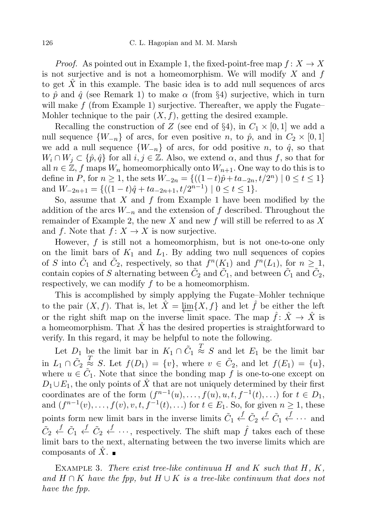*Proof.* As pointed out in Example 1, the fixed-point-free map  $f: X \to X$ is not surjective and is not a homeomorphism. We will modify  $X$  and  $f$ to get  $X$  in this example. The basic idea is to add null sequences of arcs to  $\hat{p}$  and  $\hat{q}$  (see Remark 1) to make  $\alpha$  (from §4) surjective, which in turn will make  $f$  (from Example 1) surjective. Thereafter, we apply the Fugate– Mohler technique to the pair  $(X, f)$ , getting the desired example.

Recalling the construction of Z (see end of §4), in  $C_1 \times [0,1]$  we add a null sequence  $\{W_{-n}\}\$  of arcs, for even positive n, to  $\hat{p}$ , and in  $C_2 \times [0,1]$ we add a null sequence  $\{W_{-n}\}\$  of arcs, for odd positive n, to  $\hat{q}$ , so that  $W_i \cap W_j \subset \{\hat{p}, \hat{q}\}\$ for all  $i, j \in \mathbb{Z}$ . Also, we extend  $\alpha$ , and thus f, so that for all  $n \in \mathbb{Z}$ , f maps  $W_n$  homeomorphically onto  $W_{n+1}$ . One way to do this is to define in P, for  $n \ge 1$ , the sets  $W_{-2n} = \{((1-t)\hat{p} + ta_{-2n}, t/2^n) | 0 \le t \le 1\}$ and  $W_{-2n+1} = \{((1-t)\hat{q} + ta_{-2n+1}, t/2^{n-1}) \mid 0 \le t \le 1\}.$ 

So, assume that  $X$  and  $f$  from Example 1 have been modified by the addition of the arcs  $W_{-n}$  and the extension of f described. Throughout the remainder of Example 2, the new X and new f will still be referred to as X and f. Note that  $f: X \to X$  is now surjective.

However,  $f$  is still not a homeomorphism, but is not one-to-one only on the limit bars of  $K_1$  and  $L_1$ . By adding two null sequences of copies of S into  $\tilde{C}_1$  and  $\tilde{C}_2$ , respectively, so that  $f^n(K_1)$  and  $f^n(L_1)$ , for  $n \geq 1$ , contain copies of S alternating between  $\tilde{C}_2$  and  $\tilde{C}_1$ , and between  $\tilde{C}_1$  and  $\tilde{C}_2$ , respectively, we can modify f to be a homeomorphism.

This is accomplished by simply applying the Fugate–Mohler technique to the pair  $(X, f)$ . That is, let  $\hat{X} = \lim\{X, f\}$  and let  $\hat{f}$  be either the left or the right shift map on the inverse limit space. The map  $\hat{f}$ :  $\hat{X} \to \hat{X}$  is a homeomorphism. That  $\hat{X}$  has the desired properties is straightforward to verify. In this regard, it may be helpful to note the following.

Let  $D_1$  be the limit bar in  $K_1 \cap \tilde{C}_1$  $\stackrel{T}{\approx} S$  and let  $E_1$  be the limit bar in  $L_1 \cap \tilde{C}_2$  $\stackrel{T}{\approx} S$ . Let  $f(D_1) = \{v\}$ , where  $v \in \tilde{C}_2$ , and let  $f(E_1) = \{u\}$ , where  $u \in \tilde{C}_1$ . Note that since the bonding map f is one-to-one except on  $D_1 \cup E_1$ , the only points of  $\hat{X}$  that are not uniquely determined by their first coordinates are of the form  $(f^{n-1}(u),..., f(u), u, t, f^{-1}(t),...)$  for  $t \in D_1$ , and  $(f^{n-1}(v),..., f(v), v, t, f^{-1}(t),...)$  for  $t \in E_1$ . So, for given  $n \ge 1$ , these points form new limit bars in the inverse limits  $\tilde{C}_1 \stackrel{f}{\leftarrow} \tilde{C}_2 \stackrel{f}{\leftarrow} \tilde{C}_1 \stackrel{f}{\leftarrow} \cdots$  and  $\tilde{C}_2 \stackrel{f}{\leftarrow} \tilde{C}_1 \stackrel{f}{\leftarrow} \tilde{C}_2 \stackrel{f}{\leftarrow} \cdots$ , respectively. The shift map  $\hat{f}$  takes each of these limit bars to the next, alternating between the two inverse limits which are composants of  $X$ .

EXAMPLE 3. There exist tree-like continuua  $H$  and  $K$  such that  $H, K$ , and  $H \cap K$  have the fpp, but  $H \cup K$  is a tree-like continuum that does not have the fpp.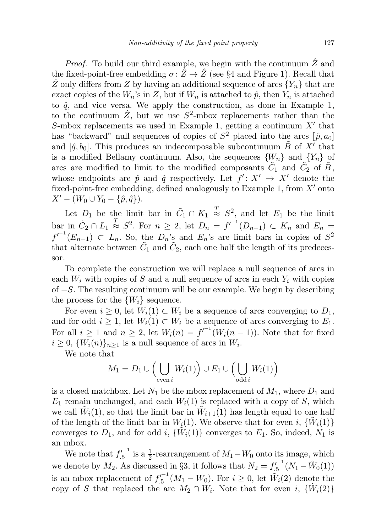*Proof.* To build our third example, we begin with the continuum  $\ddot{Z}$  and the fixed-point-free embedding  $\sigma: Z \to Z$  (see §4 and Figure 1). Recall that  $\hat{Z}$  only differs from Z by having an additional sequence of arcs  ${Y_n}$  that are exact copies of the  $W_n$ 's in Z, but if  $W_n$  is attached to  $\hat{p}$ , then  $Y_n$  is attached to  $\hat{q}$ , and vice versa. We apply the construction, as done in Example 1, to the continuum  $\hat{Z}$ , but we use  $S^2$ -mbox replacements rather than the S-mbox replacements we used in Example 1, getting a continuum  $X'$  that has "backward" null sequences of copies of  $S^2$  placed into the arcs  $[\hat{p}, a_0]$ and  $[\hat{q}, b_0]$ . This produces an indecomposable subcontinuum  $\tilde{B}$  of  $X'$  that is a modified Bellamy continuum. Also, the sequences  ${W_n}$  and  ${Y_n}$  of arcs are modified to limit to the modified composants  $\tilde{C}_1$  and  $\tilde{C}_2$  of  $\tilde{B}$ , whose endpoints are  $\hat{p}$  and  $\hat{q}$  respectively. Let  $f' : X' \to X'$  denote the fixed-point-free embedding, defined analogously to Example 1, from  $X'$  onto  $X' - (W_0 \cup Y_0 - \{\hat{p}, \hat{q}\}).$ 

Let  $D_1$  be the limit bar in  $\tilde{C}_1 \cap K_1 \stackrel{T}{\approx} S^2$ , and let  $E_1$  be the limit bar in  $\tilde{C}_2 \cap L_1 \stackrel{T}{\approx} S^2$ . For  $n \geq 2$ , let  $D_n = f^{-1}(D_{n-1}) \subset K_n$  and  $E_n =$  $f'^{-1}(E_{n-1}) \subset L_n$ . So, the  $D_n$ 's and  $E_n$ 's are limit bars in copies of  $S^2$ that alternate between  $\tilde{C}_1$  and  $\tilde{C}_2$ , each one half the length of its predecessor.

To complete the construction we will replace a null sequence of arcs in each  $W_i$  with copies of S and a null sequence of arcs in each  $Y_i$  with copies of −S. The resulting continuum will be our example. We begin by describing the process for the  $\{W_i\}$  sequence.

For even  $i \geq 0$ , let  $W_i(1) \subset W_i$  be a sequence of arcs converging to  $D_1$ , and for odd  $i \geq 1$ , let  $W_i(1) \subset W_i$  be a sequence of arcs converging to  $E_1$ . For all  $i \geq 1$  and  $n \geq 2$ , let  $W_i(n) = f^{-1}(W_i(n-1))$ . Note that for fixed  $i \geq 0$ ,  $\{W_i(n)\}_{n \geq 1}$  is a null sequence of arcs in  $W_i$ .

We note that

$$
M_1 = D_1 \cup \Big(\bigcup_{\text{even } i} W_i(1)\Big) \cup E_1 \cup \Big(\bigcup_{\text{odd } i} W_i(1)\Big)
$$

is a closed matchbox. Let  $N_1$  be the mbox replacement of  $M_1$ , where  $D_1$  and  $E_1$  remain unchanged, and each  $W_i(1)$  is replaced with a copy of S, which we call  $\tilde{W}_i(1)$ , so that the limit bar in  $\tilde{W}_{i+1}(1)$  has length equal to one half of the length of the limit bar in  $W_i(1)$ . We observe that for even i,  $\{\tilde{W}_i(1)\}$ converges to  $D_1$ , and for odd i,  $\{\tilde{W}_i(1)\}\)$  converges to  $E_1$ . So, indeed,  $N_1$  is an mbox.

We note that  $f_{.5}^{f^{-1}}$  is a  $\frac{1}{2}$ -rearrangement of  $M_1-W_0$  onto its image, which we denote by  $M_2$ . As discussed in §3, it follows that  $N_2 = f'_{.5}^{-1}(N_1 - \tilde{W}_0(1))$ is an mbox replacement of  $f_{.5}^{j^{-1}}(M_1 - W_0)$ . For  $i \geq 0$ , let  $\tilde{W}_i(2)$  denote the copy of S that replaced the arc  $M_2 \cap W_i$ . Note that for even i,  $\{\tilde{W}_i(2)\}$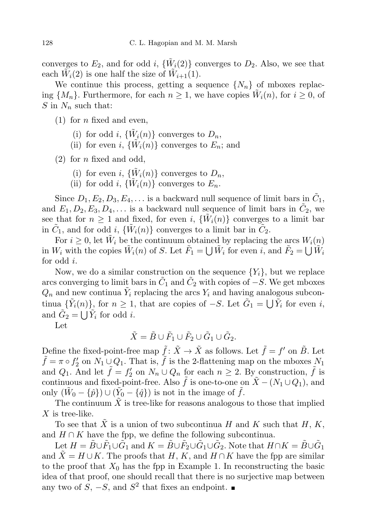converges to  $E_2$ , and for odd i,  $\{\tilde{W}_i(2)\}$  converges to  $D_2$ . Also, we see that each  $\tilde{W}_i(2)$  is one half the size of  $\tilde{W}_{i+1}(1)$ .

We continue this process, getting a sequence  $\{N_n\}$  of mboxes replacing  $\{M_n\}$ . Furthermore, for each  $n \geq 1$ , we have copies  $\tilde{W}_i(n)$ , for  $i \geq 0$ , of S in  $N_n$  such that:

- $(1)$  for *n* fixed and even,
	- (i) for odd i,  $\{\tilde{W}_i(n)\}$  converges to  $D_n$ ,
	- (ii) for even i,  $\{\tilde{W}_i(n)\}$  converges to  $E_n$ ; and

 $(2)$  for *n* fixed and odd,

- (i) for even i,  $\{\tilde{W}_i(n)\}$  converges to  $D_n$ ,
- (ii) for odd i,  $\{\widetilde{W}_i(n)\}$  converges to  $E_n$ .

Since  $D_1, E_2, D_3, E_4, \ldots$  is a backward null sequence of limit bars in  $\tilde{C}_1$ , and  $E_1, D_2, E_3, D_4, \ldots$  is a backward null sequence of limit bars in  $\tilde{C}_2$ , we see that for  $n \geq 1$  and fixed, for even i,  $\{\tilde{W}_i(n)\}$  converges to a limit bar in  $\tilde{C}_1$ , and for odd i,  $\{\tilde{W}_i(n)\}\)$  converges to a limit bar in  $\tilde{C}_2$ .

For  $i \geq 0$ , let  $\tilde{W}_i$  be the continuum obtained by replacing the arcs  $W_i(n)$ in  $W_i$  with the copies  $\tilde{W}_i(n)$  of S. Let  $\tilde{F}_1 = \bigcup \tilde{W}_i$  for even i, and  $\tilde{F}_2 = \bigcup \tilde{W}_i$ for odd i.

Now, we do a similar construction on the sequence  ${Y_i}$ , but we replace arcs converging to limit bars in  $\tilde{C}_1$  and  $\tilde{C}_2$  with copies of  $-S$ . We get mboxes  $Q_n$  and new continua  $\tilde{Y}_i$  replacing the arcs  $Y_i$  and having analogous subcontinua  $\{\tilde{Y}_i(n)\}\$ , for  $n \geq 1$ , that are copies of  $-S$ . Let  $\tilde{G}_1 = \bigcup \tilde{Y}_i$  for even i, and  $\tilde{G}_2 = \bigcup \tilde{Y}_i$  for odd *i*.

Let

$$
\tilde{X} = \tilde{B} \cup \tilde{F}_1 \cup \tilde{F}_2 \cup \tilde{G}_1 \cup \tilde{G}_2.
$$

Define the fixed-point-free map  $\tilde{f}$ :  $\tilde{X} \to \tilde{X}$  as follows. Let  $\tilde{f} = f'$  on  $\tilde{B}$ . Let  $\tilde{f} = \pi \circ f'_2$  on  $N_1 \cup Q_1$ . That is,  $\tilde{f}$  is the 2-flattening map on the mboxes  $N_1$ and  $Q_1$ . And let  $\tilde{f} = f'_2$  on  $N_n \cup Q_n$  for each  $n \geq 2$ . By construction,  $\tilde{f}$  is continuous and fixed-point-free. Also  $\tilde{f}$  is one-to-one on  $\tilde{X} - (N_1 \cup Q_1)$ , and only  $(\tilde{W}_0 - {\hat{\rho}}) \cup (\tilde{Y}_0 - {\hat{q}})$  is not in the image of  $\tilde{f}$ .

The continuum  $\overline{X}$  is tree-like for reasons analogous to those that implied  $X$  is tree-like.

To see that X is a union of two subcontinua H and K such that  $H, K$ , and  $H \cap K$  have the fpp, we define the following subcontinua.

Let  $H = \tilde{B} \cup \tilde{F}_1 \cup \tilde{G}_1$  and  $K = \tilde{B} \cup \tilde{F}_2 \cup \tilde{G}_1 \cup \tilde{G}_2$ . Note that  $H \cap K = \tilde{B} \cup \tilde{G}_1$ and  $\overline{X} = H \cup K$ . The proofs that H, K, and  $H \cap K$  have the fpp are similar to the proof that  $X_0$  has the fpp in Example 1. In reconstructing the basic idea of that proof, one should recall that there is no surjective map between any two of  $S, -S$ , and  $S^2$  that fixes an endpoint.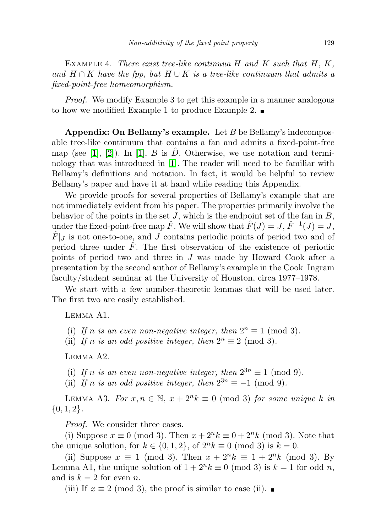EXAMPLE 4. There exist tree-like continuua  $H$  and  $K$  such that  $H, K$ , and  $H \cap K$  have the fpp, but  $H \cup K$  is a tree-like continuum that admits a fixed-point-free homeomorphism.

Proof. We modify Example 3 to get this example in a manner analogous to how we modified Example 1 to produce Example 2.  $\blacksquare$ 

Appendix: On Bellamy's example. Let  $B$  be Bellamy's indecomposable tree-like continuum that contains a fan and admits a fixed-point-free map (see [\[1\]](#page-22-0), [\[2\]](#page-23-23)). In [1], B is D. Otherwise, we use notation and terminology that was introduced in [\[1\]](#page-22-0). The reader will need to be familiar with Bellamy's definitions and notation. In fact, it would be helpful to review Bellamy's paper and have it at hand while reading this Appendix.

We provide proofs for several properties of Bellamy's example that are not immediately evident from his paper. The properties primarily involve the behavior of the points in the set  $J$ , which is the endpoint set of the fan in  $B$ , under the fixed-point-free map  $\hat{F}$ . We will show that  $\hat{F}(J) = J$ ,  $\hat{F}^{-1}(J) = J$ ,  $\hat{F}|_{J}$  is not one-to-one, and J contains periodic points of period two and of period three under  $\hat{F}$ . The first observation of the existence of periodic points of period two and three in J was made by Howard Cook after a presentation by the second author of Bellamy's example in the Cook–Ingram faculty/student seminar at the University of Houston, circa 1977–1978.

We start with a few number-theoretic lemmas that will be used later. The first two are easily established.

Lemma A1.

- (i) If n is an even non-negative integer, then  $2^n \equiv 1 \pmod{3}$ .
- (ii) If n is an odd positive integer, then  $2^n \equiv 2 \pmod{3}$ .

Lemma A2.

- (i) If n is an even non-negative integer, then  $2^{3n} \equiv 1 \pmod{9}$ .
- (ii) If n is an odd positive integer, then  $2^{3n} \equiv -1 \pmod{9}$ .

LEMMA A3. For  $x, n \in \mathbb{N}$ ,  $x + 2^n k \equiv 0 \pmod{3}$  for some unique k in  $\{0, 1, 2\}.$ 

*Proof.* We consider three cases.

(i) Suppose  $x \equiv 0 \pmod{3}$ . Then  $x + 2^n k \equiv 0 + 2^n k \pmod{3}$ . Note that the unique solution, for  $k \in \{0, 1, 2\}$ , of  $2^n k \equiv 0 \pmod{3}$  is  $k = 0$ .

(ii) Suppose  $x \equiv 1 \pmod{3}$ . Then  $x + 2^n k \equiv 1 + 2^n k \pmod{3}$ . By Lemma A1, the unique solution of  $1 + 2^n k \equiv 0 \pmod{3}$  is  $k = 1$  for odd n, and is  $k = 2$  for even n.

(iii) If  $x \equiv 2 \pmod{3}$ , the proof is similar to case (ii). ■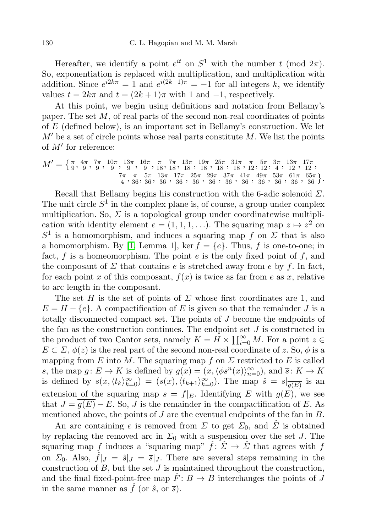Hereafter, we identify a point  $e^{it}$  on  $S^1$  with the number t (mod  $2\pi$ ). So, exponentiation is replaced with multiplication, and multiplication with addition. Since  $e^{i2k\pi} = 1$  and  $e^{i(2k+1)\pi} = -1$  for all integers k, we identify values  $t = 2k\pi$  and  $t = (2k + 1)\pi$  with 1 and -1, respectively.

At this point, we begin using definitions and notation from Bellamy's paper. The set  $M$ , of real parts of the second non-real coordinates of points of E (defined below), is an important set in Bellamy's construction. We let  $M'$  be a set of circle points whose real parts constitute M. We list the points of  $M'$  for reference:

$$
M' = \left\{ \frac{\pi}{9}, \frac{4\pi}{9}, \frac{7\pi}{9}, \frac{10\pi}{9}, \frac{13\pi}{9}, \frac{16\pi}{9}, \frac{\pi}{18}, \frac{7\pi}{18}, \frac{13\pi}{18}, \frac{19\pi}{18}, \frac{25\pi}{18}, \frac{31\pi}{18}, \frac{\pi}{18}, \frac{5\pi}{12}, \frac{3\pi}{12}, \frac{3\pi}{12}, \frac{13\pi}{4}, \frac{17\pi}{12}, \frac{7\pi}{12}, \frac{7\pi}{4}, \frac{7\pi}{36}, \frac{5\pi}{36}, \frac{13\pi}{36}, \frac{17\pi}{36}, \frac{25\pi}{36}, \frac{29\pi}{36}, \frac{37\pi}{36}, \frac{41\pi}{36}, \frac{49\pi}{36}, \frac{53\pi}{36}, \frac{61\pi}{36}, \frac{65\pi}{36} \right\}.
$$

Recall that Bellamy begins his construction with the 6-adic solenoid  $\Sigma$ . The unit circle  $S^1$  in the complex plane is, of course, a group under complex multiplication. So,  $\Sigma$  is a topological group under coordinatewise multiplication with identity element  $e = (1, 1, 1, \ldots)$ . The squaring map  $z \mapsto z^2$  on  $S<sup>1</sup>$  is a homomorphism, and induces a squaring map f on  $\Sigma$  that is also a homomorphism. By [\[1,](#page-22-0) Lemma 1], ker  $f = \{e\}$ . Thus, f is one-to-one; in fact,  $f$  is a homeomorphism. The point  $e$  is the only fixed point of  $f$ , and the composant of  $\Sigma$  that contains e is stretched away from e by f. In fact, for each point x of this composant,  $f(x)$  is twice as far from e as x, relative to arc length in the composant.

The set H is the set of points of  $\Sigma$  whose first coordinates are 1, and  $E = H - \{e\}$ . A compactification of E is given so that the remainder J is a totally disconnected compact set. The points of J become the endpoints of the fan as the construction continues. The endpoint set  $J$  is constructed in the product of two Cantor sets, namely  $K = \tilde{H} \times \prod_{i=0}^{\infty} M$ . For a point  $z \in$  $E \subset \Sigma$ ,  $\phi(z)$  is the real part of the second non-real coordinate of z. So,  $\phi$  is a mapping from E into M. The squaring map f on  $\Sigma$  restricted to E is called s, the map  $g: E \to K$  is defined by  $g(x) = (x, \langle \phi s^n(x) \rangle_{n=0}^{\infty})$ , and  $\overline{s}: K \to K$ is defined by  $\overline{s}(x,\langle t_k\rangle_{k=0}^{\infty}) = (s(x),\langle t_{k+1}\rangle_{k=0}^{\infty})$ . The map  $\hat{s} = \overline{s}|_{\overline{g(E)}}$  is an extension of the squaring map  $s = f|_E$ . Identifying E with  $g(E)$ , we see that  $J = g(E) - E$ . So, J is the remainder in the compactification of E. As mentioned above, the points of J are the eventual endpoints of the fan in B.

An arc containing e is removed from  $\Sigma$  to get  $\Sigma_0$ , and  $\hat{\Sigma}$  is obtained by replacing the removed arc in  $\Sigma_0$  with a suspension over the set J. The squaring map f induces a "squaring map"  $\hat{f}$ :  $\hat{\Sigma} \rightarrow \hat{\Sigma}$  that agrees with f on  $\Sigma_0$ . Also,  $\hat{f}|_J = \hat{s}|_J = \overline{s}|_J$ . There are several steps remaining in the construction of  $B$ , but the set  $J$  is maintained throughout the construction, and the final fixed-point-free map  $\hat{F}: B \to B$  interchanges the points of J in the same manner as  $\hat{f}$  (or  $\hat{s}$ , or  $\bar{s}$ ).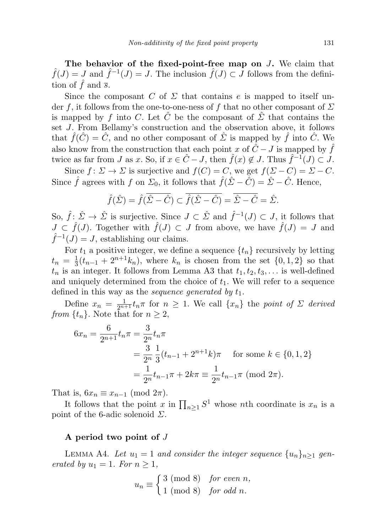The behavior of the fixed-point-free map on J. We claim that  $\hat{f}(J) = J$  and  $\hat{f}^{-1}(J) = J$ . The inclusion  $\hat{f}(J) \subset J$  follows from the definition of f and  $\overline{s}$ .

Since the composant C of  $\Sigma$  that contains e is mapped to itself under f, it follows from the one-to-one-ness of f that no other composant of  $\Sigma$ is mapped by f into C. Let  $\hat{C}$  be the composant of  $\hat{\Sigma}$  that contains the set J. From Bellamy's construction and the observation above, it follows that  $\hat{f}(\hat{C}) = \hat{C}$ , and no other composant of  $\hat{\Sigma}$  is mapped by  $\hat{f}$  into  $\hat{C}$ . We also know from the construction that each point x of  $\hat{C} - J$  is mapped by  $\hat{f}$ twice as far from J as x. So, if  $x \in \hat{C} - J$ , then  $\hat{f}(x) \notin J$ . Thus  $\hat{f}^{-1}(J) \subset J$ .

Since  $f: \Sigma \to \Sigma$  is surjective and  $f(C) = C$ , we get  $f(\Sigma - C) = \Sigma - C$ . Since  $\hat{f}$  agrees with f on  $\Sigma_0$ , it follows that  $\hat{f}(\hat{\Sigma} - \hat{C}) = \hat{\Sigma} - \hat{C}$ . Hence,

$$
\hat{f}(\hat{\Sigma}) = \hat{f}(\overline{\hat{\Sigma} - \hat{C}}) \subset \overline{\hat{f}(\hat{\Sigma} - \hat{C})} = \overline{\hat{\Sigma} - \hat{C}} = \hat{\Sigma}.
$$

So,  $\hat{f}$ :  $\hat{\Sigma} \to \hat{\Sigma}$  is surjective. Since  $J \subset \hat{\Sigma}$  and  $\hat{f}^{-1}(J) \subset J$ , it follows that  $J \subset \hat{f}(J)$ . Together with  $\hat{f}(J) \subset J$  from above, we have  $\hat{f}(J) = J$  and  $\hat{f}^{-1}(J) = J$ , establishing our claims.

For  $t_1$  a positive integer, we define a sequence  $\{t_n\}$  recursively by letting  $t_n = \frac{1}{3}$  $\frac{1}{3}(t_{n-1}+2^{n+1}k_n)$ , where  $k_n$  is chosen from the set  $\{0,1,2\}$  so that  $t_n$  is an integer. It follows from Lemma A3 that  $t_1, t_2, t_3, \ldots$  is well-defined and uniquely determined from the choice of  $t_1$ . We will refer to a sequence defined in this way as the *sequence generated by*  $t_1$ .

Define  $x_n = \frac{1}{2^{n+1}} t_n \pi$  for  $n \geq 1$ . We call  $\{x_n\}$  the point of  $\Sigma$  derived from  $\{t_n\}$ . Note that for  $n \geq 2$ ,

$$
6x_n = \frac{6}{2^{n+1}} t_n \pi = \frac{3}{2^n} t_n \pi
$$
  
=  $\frac{3}{2^n} \frac{1}{3} (t_{n-1} + 2^{n+1} k) \pi$  for some  $k \in \{0, 1, 2\}$   
=  $\frac{1}{2^n} t_{n-1} \pi + 2k\pi \equiv \frac{1}{2^n} t_{n-1} \pi \pmod{2\pi}$ .

That is,  $6x_n \equiv x_{n-1} \pmod{2\pi}$ .

It follows that the point x in  $\prod_{n\geq 1} S^1$  whose nth coordinate is  $x_n$  is a point of the 6-adic solenoid  $\Sigma$ .

### A period two point of  $J$

LEMMA A4. Let  $u_1 = 1$  and consider the integer sequence  $\{u_n\}_{n \geq 1}$  generated by  $u_1 = 1$ . For  $n \geq 1$ ,

$$
u_n \equiv \begin{cases} 3 \pmod{8} & \text{for even } n, \\ 1 \pmod{8} & \text{for odd } n. \end{cases}
$$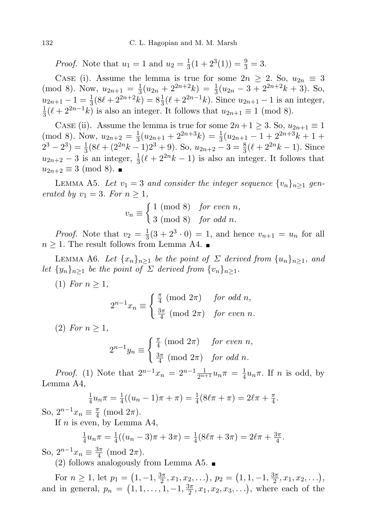*Proof.* Note that  $u_1 = 1$  and  $u_2 = \frac{1}{3}$  $\frac{1}{3}(1+2^3(1)) = \frac{9}{3} = 3.$ 

CASE (i). Assume the lemma is true for some  $2n \geq 2$ . So,  $u_{2n} \equiv 3$ (mod 8). Now,  $u_{2n+1} = \frac{1}{3}$  $\frac{1}{3}(u_{2n} + 2^{2n+2}k) = \frac{1}{3}(u_{2n} - 3 + 2^{2n+2}k + 3)$ . So,  $u_{2n+1} - 1 = \frac{1}{3}(8\ell + 2^{2n+2}k) = 8\frac{1}{3}(\ell + 2^{2n-1}k)$ . Since  $u_{2n+1} - 1$  is an integer, 1  $\frac{1}{3}(\ell + 2^{2n-1}k)$  is also an integer. It follows that  $u_{2n+1} \equiv 1 \pmod{8}$ .

CASE (ii). Assume the lemma is true for some  $2n+1 \geq 3$ . So,  $u_{2n+1} \equiv 1$ (mod 8). Now,  $u_{2n+2} = \frac{1}{3}(u_{2n+1} + 2^{2n+3}k) = \frac{1}{3}(u_{2n+1} - 1 + 2^{2n+3}k + 1 +$  $3\left(\frac{u_{2n+1}}{2} + \frac{z}{u_{2n+1}}\right) - 3$  $(2^3 - 2^3) = \frac{1}{3}(8\ell + (2^{2n}k - 1)2^3 + 9)$ . So,  $u_{2n+2} - 3 = \frac{8}{3}(\ell + 2^{2n}k - 1)$ . Since  $u_{2n+2} - 3$  is an integer,  $\frac{1}{3}(\ell + 2^{2n}k - 1)$  is also an integer. It follows that  $u_{2n+2} \equiv 3 \pmod{8}$ . ■

LEMMA A5. Let  $v_1 = 3$  and consider the integer sequence  $\{v_n\}_{n\geq 1}$  generated by  $v_1 = 3$ . For  $n \geq 1$ ,

$$
v_n \equiv \begin{cases} 1 \pmod{8} & \text{for even } n, \\ 3 \pmod{8} & \text{for odd } n. \end{cases}
$$

*Proof.* Note that  $v_2 = \frac{1}{3}$  $\frac{1}{3}(3+2^3\cdot 0) = 1$ , and hence  $v_{n+1} = u_n$  for all  $n \geq 1$ . The result follows from Lemma A4. ■

LEMMA A6. Let  $\{x_n\}_{n\geq 1}$  be the point of  $\Sigma$  derived from  $\{u_n\}_{n\geq 1}$ , and let  $\{y_n\}_{n>1}$  be the point of  $\Sigma$  derived from  $\{v_n\}_{n>1}$ .

(1) For  $n \geq 1$ ,

$$
2^{n-1}x_n \equiv \begin{cases} \frac{\pi}{4} \pmod{2\pi} & \text{for odd } n, \\ \frac{3\pi}{4} \pmod{2\pi} & \text{for even } n. \end{cases}
$$

 $(2)$  For  $n \geq 1$ ,

$$
2^{n-1}y_n \equiv \begin{cases} \frac{\pi}{4} \pmod{2\pi} & \text{for even } n, \\ \frac{3\pi}{4} \pmod{2\pi} & \text{for odd } n. \end{cases}
$$

*Proof.* (1) Note that  $2^{n-1}x_n = 2^{n-1}\frac{1}{2^{n+1}}u_n\pi = \frac{1}{4}$  $\frac{1}{4}u_n\pi$ . If *n* is odd, by Lemma A4,

$$
\frac{1}{4}u_n\pi = \frac{1}{4}((u_n - 1)\pi + \pi) = \frac{1}{4}(8\ell\pi + \pi) = 2\ell\pi + \frac{\pi}{4}.
$$

So,  $2^{n-1}x_n \equiv \frac{\pi}{4}$  $\frac{\pi}{4}$  (mod  $2\pi$ ).

If  $n$  is even, by Lemma A4,

$$
\frac{1}{4}u_n\pi = \frac{1}{4}((u_n - 3)\pi + 3\pi) = \frac{1}{4}(8\ell\pi + 3\pi) = 2\ell\pi + \frac{3\pi}{4}.
$$

So,  $2^{n-1}x_n \equiv \frac{3\pi}{4}$  $rac{3\pi}{4}$  (mod  $2\pi$ ).

(2) follows analogously from Lemma A5.  $\blacksquare$ 

For  $n \geq 1$ , let  $p_1 = (1, -1, \frac{3\pi}{2})$  $(\frac{3\pi}{2}, x_1, x_2, \ldots), p_2 = (1, 1, -1, \frac{3\pi}{2})$  $\frac{3\pi}{2}, x_1, x_2, \ldots$ , and in general,  $p_n = (1, 1, \ldots, 1, -1, \frac{3\pi}{2})$  $\frac{3\pi}{2}, x_1, x_2, x_3, \ldots$ , where each of the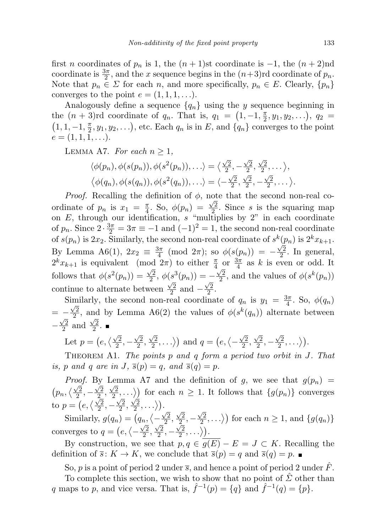first n coordinates of  $p_n$  is 1, the  $(n + 1)$ st coordinate is  $-1$ , the  $(n + 2)$ nd coordinate is  $\frac{3\pi}{2}$ , and the x sequence begins in the  $(n+3)$ rd coordinate of  $p_n$ . Note that  $p_n \in \Sigma$  for each n, and more specifically,  $p_n \in E$ . Clearly,  $\{p_n\}$ converges to the point  $e = (1, 1, 1, \ldots)$ .

Analogously define a sequence  $\{q_n\}$  using the y sequence beginning in the  $(n+3)$ rd coordinate of  $q_n$ . That is,  $q_1 = (1, -1, \frac{\pi}{2})$  $(\frac{\pi}{2}, y_1, y_2, \ldots), q_2 =$  $(1, 1, -1, \frac{\pi}{2})$  $\frac{\pi}{2}, y_1, y_2, \ldots$ , etc. Each  $q_n$  is in E, and  $\{q_n\}$  converges to the point  $e = (1, 1, 1, \ldots).$ 

LEMMA A7. For each  $n \geq 1$ ,

$$
\langle \phi(p_n), \phi(s(p_n)), \phi(s^2(p_n)), \ldots \rangle = \langle \frac{\sqrt{2}}{2}, -\frac{\sqrt{2}}{2}, \frac{\sqrt{2}}{2}, \ldots \rangle,
$$
  

$$
\langle \phi(q_n), \phi(s(q_n)), \phi(s^2(q_n)), \ldots \rangle = \langle -\frac{\sqrt{2}}{2}, \frac{\sqrt{2}}{2}, -\frac{\sqrt{2}}{2}, \ldots \rangle.
$$

*Proof.* Recalling the definition of  $\phi$ , note that the second non-real coordinate of  $p_n$  is  $x_1 = \frac{\pi}{4}$  $\frac{\pi}{4}$ . So,  $\phi(p_n) = \frac{\sqrt{2}}{2}$  $\frac{\sqrt{2}}{2}$ . Since s is the squaring map on  $E$ , through our identification, s "multiplies by 2" in each coordinate of  $p_n$ . Since  $2 \cdot \frac{3\pi}{2} = 3\pi \equiv -1$  and  $(-1)^2 = 1$ , the second non-real coordinate of  $s(p_n)$  is  $2x_2$ . Similarly, the second non-real coordinate of  $s^k(p_n)$  is  $2^k x_{k+1}$ . By Lemma A6(1),  $2x_2 \equiv \frac{3\pi}{4}$  $\frac{3\pi}{4}$  (mod  $2\pi$ ); so  $\phi(s(p_n)) = \sqrt{2}$  $\frac{\sqrt{2}}{2}$ . In general,  $2^k x_{k+1}$  is equivalent (mod  $2\pi$ ) to either  $\frac{\pi}{4}$  or  $\frac{3\pi}{4}$  as k is even or odd. It follows that  $\phi(s^2(p_n)) = \frac{\sqrt{2}}{2}$  $\frac{\sqrt{2}}{2}, \, \phi(s^3(p_n)) = -\frac{\sqrt{2}}{2}$  $(s^3(p_n)) = -\frac{\sqrt{2}}{2}$ , and the values of  $\phi(s^k(p_n))$ continue to alternate between  $\frac{\sqrt{2}}{2}$  $\frac{\sqrt{2}}{2}$  and  $-\frac{\sqrt{2}}{2}$  $\frac{2}{2}$ .

Similarly, the second non-real coordinate of  $q_n$  is  $y_1 = \frac{3\pi}{4}$ imilarly, the second non-real coordinate of  $q_n$  is  $y_1 = \frac{3\pi}{4}$ . So,  $\phi(q_n)$  $= -\frac{\sqrt{2}}{2}$  $-\frac{\sqrt{2}}{2}$ , and by Lemma A6(2) the values of  $\phi(s^k(q_n))$  alternate between  $-\frac{\sqrt{2}}{2}$  $\frac{\sqrt{2}}{2}$  and  $\frac{\sqrt{2}}{2}$  $\frac{2}{2}$ .

Let 
$$
p = (e, \langle \frac{\sqrt{2}}{2}, -\frac{\sqrt{2}}{2}, \frac{\sqrt{2}}{2}, \ldots \rangle)
$$
 and  $q = (e, \langle -\frac{\sqrt{2}}{2}, \frac{\sqrt{2}}{2}, -\frac{\sqrt{2}}{2}, \ldots \rangle)$ .

THEOREM A1. The points  $p$  and  $q$  form a period two orbit in J. That is, p and q are in J,  $\bar{s}(p) = q$ , and  $\bar{s}(q) = p$ .

*Proof.* By Lemma A7 and the definition of g, we see that  $g(p_n) =$  $\left(p_n, \left\langle \frac{\sqrt{2}}{2}\right\rangle\right)$  $\frac{\sqrt{2}}{2}, -\frac{\sqrt{2}}{2}$  $\frac{\sqrt{2}}{2},\frac{\sqrt{2}}{2}$  $\left\{\frac{\sqrt{2}}{2}, \frac{\sqrt{2}}{2},...\right\}$  for each  $n \geq 1$ . It follows that  $\{g(p_n)\}\)$  converges to  $p=(e,\langle \frac{\sqrt{2}}{2},-\frac{\sqrt{2}}{2},\frac{\sqrt{2}}{2},\ldots \rangle).$  $2$  ,  $^{-}$   $2$  ,  $2$ 

Similarly,  $g(q_n) = (q_n, \langle \sqrt{2}$  $\frac{2}{2}$ ,  $\sqrt{2}$  $\frac{2}{2}$ ,  $\sqrt{2}$  $\langle 2 \over 2, \ldots \rangle$  for each  $n \ge 1$ , and  $\{g(q_n)\}\$ converges to  $q = (e, \langle \frac{\sqrt{2}}{\sqrt{2}}$  $\frac{2}{2}$ ,  $\sqrt{2}$  $\frac{2}{2}$ ,  $\sqrt{2}$  $\sqrt{\frac{2}{2}},\ldots\rangle\big).$ 

By construction, we see that  $p, q \in \overline{g(E)} - E = J \subset K$ . Recalling the definition of  $\overline{s}$ :  $K \to K$ , we conclude that  $\overline{s}(p) = q$  and  $\overline{s}(q) = p$ .

So, p is a point of period 2 under  $\overline{s}$ , and hence a point of period 2 under F.

To complete this section, we wish to show that no point of  $\Sigma$  other than q maps to p, and vice versa. That is,  $\hat{f}^{-1}(p) = \{q\}$  and  $\hat{f}^{-1}(q) = \{p\}.$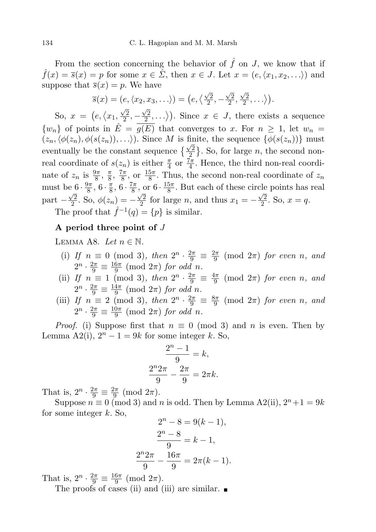From the section concerning the behavior of  $\hat{f}$  on J, we know that if  $\hat{f}(x) = \overline{s}(x) = p$  for some  $x \in \hat{\Sigma}$ , then  $x \in J$ . Let  $x = (e, \langle x_1, x_2, \ldots \rangle)$  and suppose that  $\overline{s}(x) = p$ . We have

$$
\overline{s}(x) = (e, \langle x_2, x_3, \ldots \rangle) = (e, \langle \frac{\sqrt{2}}{2}, -\frac{\sqrt{2}}{2}, \frac{\sqrt{2}}{2}, \ldots \rangle).
$$
  

$$
(e, \langle x_1, \frac{\sqrt{2}}{2}, -\frac{\sqrt{2}}{2}, \ldots \rangle) \text{ Since } x \in I \text{ there exist}
$$

So,  $x = (e, \langle x_1, \rangle)$  $\frac{2}{2}$ ,  $\langle \frac{2}{2}, \ldots \rangle$ ). Since  $x \in J$ , there exists a sequence  $\{w_n\}$  of points in  $\hat{E} = \overline{g(E)}$  that converges to x. For  $n \geq 1$ , let  $w_n =$  $(z_n,\langle \phi(z_n), \phi(s(z_n)), \ldots \rangle)$ . Since M is finite, the sequence  $\{\phi(s(z_n))\}$  must  $(\sqrt[n]{\alpha_n}, \sqrt[n]{\alpha_n}, \sqrt[n]{\alpha_n}, \ldots)$  since  $M$  is in<br>eventually be the constant sequence  $\{\frac{\sqrt{2}}{2}\}$  $\frac{\sqrt{2}}{2}$ . So, for large *n*, the second nonreal coordinate of  $s(z_n)$  is either  $\frac{\pi}{4}$  or  $\frac{7\pi}{4}$ . Hence, the third non-real coordinate of  $z_n$  is  $\frac{9\pi}{8}$ ,  $\frac{\pi}{8}$  $\frac{\pi}{8}, \frac{7\pi}{8}$  $\frac{7\pi}{8}$ , or  $\frac{15\pi}{8}$ . Thus, the second non-real coordinate of  $z_n$ must be  $6 \cdot \frac{9\pi}{8}$  $\frac{\theta\pi}{8}$ , 6 ·  $\frac{\pi}{8}$  $\frac{\pi}{8}, 6 \cdot \frac{7\pi}{8}$  $\frac{7\pi}{8}$ , or  $6 \cdot \frac{15\pi}{8}$  $e^{6\cdot \frac{9\pi}{8}, 6\cdot \frac{\pi}{8}, 6\cdot \frac{7\pi}{8}, \text{ or } 6\cdot \frac{15\pi}{8}.$  But each of these circle points has real part  $-\frac{\sqrt{2}}{2}$  $\frac{\sqrt{2}}{2}$ . So,  $\phi(z_n) = -\frac{\sqrt{2}}{2}$  $\frac{\sqrt{2}}{2}$  for large *n*, and thus  $x_1 = -\frac{\sqrt{2}}{2}$  $\frac{\sqrt{2}}{2}$ . So,  $x = q$ .

The proof that  $\hat{f}^{-1}(q) = \{p\}$  is similar.

## A period three point of  $J$

LEMMA A8. Let  $n \in \mathbb{N}$ .

- (i) If  $n \equiv 0 \pmod{3}$ , then  $2^n \cdot \frac{2\pi}{9} \equiv \frac{2\pi}{9} \pmod{2\pi}$  for even n, and 9  $2^n \cdot \frac{2\pi}{9} \equiv \frac{16\pi}{9}$  $rac{6\pi}{9}$  (mod  $2\pi$ ) for odd n.
- (ii) If  $n \equiv 1 \pmod{3}$ , then  $2^n \cdot \frac{2\pi}{9} \equiv \frac{4\pi}{9}$  $\frac{4\pi}{9}$  (mod  $2\pi$ ) for even n, and  $2^n\cdot\frac{2\pi}{9}\equiv\frac{14\pi}{9}$  $\frac{4\pi}{9}$  (mod  $2\pi$ ) for odd n.
- (iii) If  $n \equiv 2 \pmod{3}$ , then  $2^n \cdot \frac{2\pi}{9} \equiv \frac{8\pi}{9}$  $\frac{3\pi}{9}$  (mod  $2\pi$ ) for even n, and  $2^n \cdot \frac{2\pi}{9} \equiv \frac{10\pi}{9}$  $\frac{0\pi}{9}$  (mod  $2\pi$ ) for odd n.

*Proof.* (i) Suppose first that  $n \equiv 0 \pmod{3}$  and n is even. Then by Lemma A2(i),  $2^{n} - 1 = 9k$  for some integer k. So,

$$
\frac{2^{n}-1}{9} = k,
$$
  

$$
\frac{2^{n}2\pi}{9} - \frac{2\pi}{9} = 2\pi k.
$$

That is,  $2^n \cdot \frac{2\pi}{9} \equiv \frac{2\pi}{9}$  $\frac{2\pi}{9}$  (mod  $2\pi$ ).

Suppose  $n \equiv 0 \pmod{3}$  and n is odd. Then by Lemma A2(ii),  $2^n + 1 = 9k$ for some integer  $k$ . So,

$$
2^{n} - 8 = 9(k - 1),
$$
  

$$
\frac{2^{n} - 8}{9} = k - 1,
$$
  

$$
\frac{2^{n} 2\pi}{9} - \frac{16\pi}{9} = 2\pi(k - 1).
$$

That is,  $2^n \cdot \frac{2\pi}{9} \equiv \frac{16\pi}{9}$  $rac{6\pi}{9}$  (mod  $2\pi$ ).

The proofs of cases (ii) and (iii) are similar.  $\blacksquare$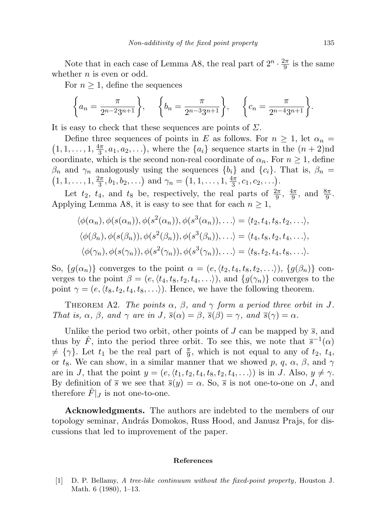Note that in each case of Lemma A8, the real part of  $2^n \cdot \frac{2\pi}{9}$  $\frac{2\pi}{9}$  is the same whether  $n$  is even or odd.

For  $n \geq 1$ , define the sequences

$$
\left\{a_n = \frac{\pi}{2^{n-2}3^{n+1}}\right\}, \quad \left\{b_n = \frac{\pi}{2^{n-3}3^{n+1}}\right\}, \quad \left\{c_n = \frac{\pi}{2^{n-4}3^{n+1}}\right\}.
$$

It is easy to check that these sequences are points of  $\Sigma$ .

Define three sequences of points in E as follows. For  $n \geq 1$ , let  $\alpha_n =$  $(1, 1, \ldots, 1, \frac{4\pi}{3})$  $\left(\frac{4\pi}{3}, a_1, a_2, \ldots\right)$ , where the  $\{a_i\}$  sequence starts in the  $(n+2)$ nd coordinate, which is the second non-real coordinate of  $\alpha_n$ . For  $n \geq 1$ , define  $\beta_n$  and  $\gamma_n$  analogously using the sequences  $\{b_i\}$  and  $\{c_i\}$ . That is,  $\beta_n =$  $(1, 1, \ldots, 1, \frac{2\pi}{3})$  $\frac{2\pi}{3}, b_1, b_2, \ldots$  and  $\gamma_n = (1, 1, \ldots, 1, \frac{4\pi}{3})$  $\frac{4\pi}{3},c_1,c_2,\ldots$ ).

Let  $t_2$ ,  $t_4$ , and  $t_8$  be, respectively, the real parts of  $\frac{2\pi}{9}$ ,  $\frac{4\pi}{9}$  $\frac{4\pi}{9}$ , and  $\frac{8\pi}{9}$ . Applying Lemma A8, it is easy to see that for each  $n \geq 1$ ,

$$
\langle \phi(\alpha_n), \phi(s(\alpha_n)), \phi(s^2(\alpha_n)), \phi(s^3(\alpha_n)), \ldots \rangle = \langle t_2, t_4, t_8, t_2, \ldots \rangle,
$$
  

$$
\langle \phi(\beta_n), \phi(s(\beta_n)), \phi(s^2(\beta_n)), \phi(s^3(\beta_n)), \ldots \rangle = \langle t_4, t_8, t_2, t_4, \ldots \rangle,
$$
  

$$
\langle \phi(\gamma_n), \phi(s(\gamma_n)), \phi(s^2(\gamma_n)), \phi(s^3(\gamma_n)), \ldots \rangle = \langle t_8, t_2, t_4, t_8, \ldots \rangle.
$$

So,  $\{g(\alpha_n)\}\)$  converges to the point  $\alpha = (e, \langle t_2, t_4, t_8, t_2, \ldots \rangle), \{g(\beta_n)\}\)$  converges to the point  $\beta = (e, \langle t_4, t_8, t_2, t_4, \ldots \rangle)$ , and  $\{g(\gamma_n)\}\)$  converges to the point  $\gamma = (e, \langle t_8, t_2, t_4, t_8, \ldots \rangle)$ . Hence, we have the following theorem.

THEOREM A2. The points  $\alpha$ ,  $\beta$ , and  $\gamma$  form a period three orbit in J. That is,  $\alpha$ ,  $\beta$ , and  $\gamma$  are in  $J$ ,  $\bar{s}(\alpha) = \beta$ ,  $\bar{s}(\beta) = \gamma$ , and  $\bar{s}(\gamma) = \alpha$ .

Unlike the period two orbit, other points of J can be mapped by  $\overline{s}$ , and thus by  $\hat{F}$ , into the period three orbit. To see this, we note that  $\bar{s}^{-1}(\alpha)$  $\neq \{\gamma\}$ . Let  $t_1$  be the real part of  $\frac{\pi}{9}$ , which is not equal to any of  $t_2$ ,  $t_4$ , or  $t_8$ . We can show, in a similar manner that we showed p, q,  $\alpha$ ,  $\beta$ , and  $\gamma$ are in J, that the point  $y = (e, \langle t_1, t_2, t_4, t_8, t_2, t_4, \ldots \rangle)$  is in J. Also,  $y \neq \gamma$ . By definition of  $\overline{s}$  we see that  $\overline{s}(y) = \alpha$ . So,  $\overline{s}$  is not one-to-one on J, and therefore  $\ddot{F}|_J$  is not one-to-one.

Acknowledgments. The authors are indebted to the members of our topology seminar, András Domokos, Russ Hood, and Janusz Prajs, for discussions that led to improvement of the paper.

#### References

<span id="page-22-0"></span>[1] D. P. Bellamy, A tree-like continuum without the fixed-point property, Houston J. Math. 6 (1980), 1–13.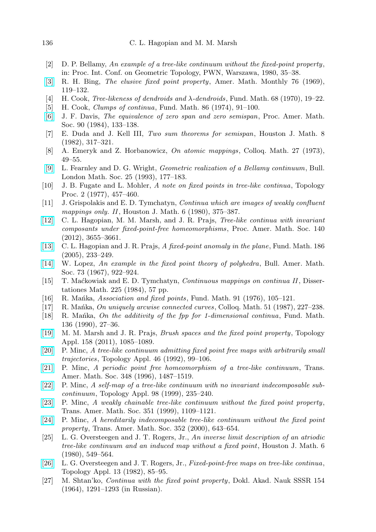- <span id="page-23-23"></span>[2] D. P. Bellamy, An example of a tree-like continuum without the fixed-point property, in: Proc. Int. Conf. on Geometric Topology, PWN, Warszawa, 1980, 35–38.
- <span id="page-23-4"></span>[\[3\]](http://dx.doi.org/10.2307/2317258) R. H. Bing, The elusive fixed point property, Amer. Math. Monthly 76 (1969), 119–132.
- <span id="page-23-9"></span>[4] H. Cook, Tree-likeness of dendroids and λ-dendroids, Fund. Math. 68 (1970), 19–22.
- <span id="page-23-10"></span>[5] H. Cook, Clumps of continua, Fund. Math. 86 (1974), 91–100.
- <span id="page-23-2"></span>[\[6\]](http://dx.doi.org/10.1090/S0002-9939-1984-0722431-3) J. F. Davis, The equivalence of zero span and zero semispan, Proc. Amer. Math. Soc. 90 (1984), 133–138.
- <span id="page-23-1"></span>[7] E. Duda and J. Kell III, Two sum theorems for semispan, Houston J. Math. 8 (1982), 317–321.
- <span id="page-23-8"></span>[8] A. Emeryk and Z. Horbanowicz, On atomic mappings, Colloq. Math. 27 (1973), 49–55.
- <span id="page-23-14"></span>[\[9\]](http://dx.doi.org/10.1112/blms/25.2.177) L. Fearnley and D. G. Wright, Geometric realization of a Bellamy continuum, Bull. London Math. Soc. 25 (1993), 177–183.
- <span id="page-23-11"></span>[10] J. B. Fugate and L. Mohler, A note on fixed points in tree-like continua, Topology Proc. 2 (1977), 457–460.
- <span id="page-23-21"></span>[11] J. Grispolakis and E. D. Tymchatyn, Continua which are images of weakly confluent mappings only. II, Houston J. Math. 6 (1980), 375–387.
- <span id="page-23-18"></span>[\[12\]](http://dx.doi.org/10.1090/S0002-9939-2012-11727-7) C. L. Hagopian, M. M. Marsh, and J. R. Prajs, Tree-like continua with invariant composants under fixed-point-free homeomorphisms , Proc. Amer. Math. Soc. 140  $(2012), 3655 - 3661.$
- <span id="page-23-5"></span>[\[13\]](http://dx.doi.org/10.4064/fm186-3-3) C. L. Hagopian and J. R. Prajs, A fixed-point anomaly in the plane, Fund. Math. 186 (2005), 233–249.
- <span id="page-23-3"></span>[\[14\]](http://dx.doi.org/10.1090/S0002-9904-1967-11848-2) W. Lopez, An example in the fixed point theory of polyhedra, Bull. Amer. Math. Soc. 73 (1967), 922–924.
- <span id="page-23-19"></span>[15] T. Ma´ckowiak and E. D. Tymchatyn, Continuous mappings on continua II, Dissertationes Math. 225 (1984), 57 pp.
- <span id="page-23-20"></span>[16] R. Manka, Association and fixed points, Fund. Math. 91 (1976),  $105-121$ .
- <span id="page-23-6"></span>[17] R. Mañka, On uniquely arcwise connected curves, Colloq. Math. 51 (1987), 227–238.
- <span id="page-23-7"></span>[18] R. Mañka, On the additivity of the fpp for 1-dimensional continua, Fund. Math. 136 (1990), 27–36.
- <span id="page-23-22"></span>[\[19\]](http://dx.doi.org/10.1016/j.topol.2011.03.004) M. M. Marsh and J. R. Prajs, Brush spaces and the fixed point property, Topology Appl. 158 (2011), 1085–1089.
- <span id="page-23-15"></span>[\[20\]](http://dx.doi.org/10.1016/0166-8641(92)90124-I) P. Minc, A tree-like continuum admitting fixed point free maps with arbitrarily small trajectories, Topology Appl. 46 (1992), 99–106.
- <span id="page-23-17"></span>[\[21\]](http://dx.doi.org/10.1090/S0002-9947-96-01477-8) P. Minc, A periodic point free homeomorphism of a tree-like continuum, Trans. Amer. Math. Soc. 348 (1996), 1487–1519.
- [\[22\]](http://dx.doi.org/10.1016/S0166-8641(98)00101-1) P. Minc, A self-map of a tree-like continuum with no invariant indecomposable subcontinuum, Topology Appl. 98 (1999), 235–240.
- [\[23\]](http://dx.doi.org/10.1090/S0002-9947-99-02071-1) P. Minc, A weakly chainable tree-like continuum without the fixed point property, Trans. Amer. Math. Soc. 351 (1999), 1109–1121.
- <span id="page-23-16"></span>[\[24\]](http://dx.doi.org/10.1090/S0002-9947-99-02570-2) P. Minc, A hereditarily indecomposable tree-like continuum without the fixed point property, Trans. Amer. Math. Soc. 352 (2000), 643–654.
- <span id="page-23-12"></span>[25] L. G. Oversteegen and J. T. Rogers, Jr., An inverse limit description of an atriodic tree-like continuum and an induced map without a fixed point, Houston J. Math. 6 (1980), 549–564.
- <span id="page-23-13"></span>[\[26\]](http://dx.doi.org/10.1016/0166-8641(82)90010-4) L. G. Oversteegen and J. T. Rogers, Jr., Fixed-point-free maps on tree-like continua, Topology Appl. 13 (1982), 85–95.
- <span id="page-23-0"></span>[27] M. Shtan'ko, Continua with the fixed point property, Dokl. Akad. Nauk SSSR 154 (1964), 1291–1293 (in Russian).